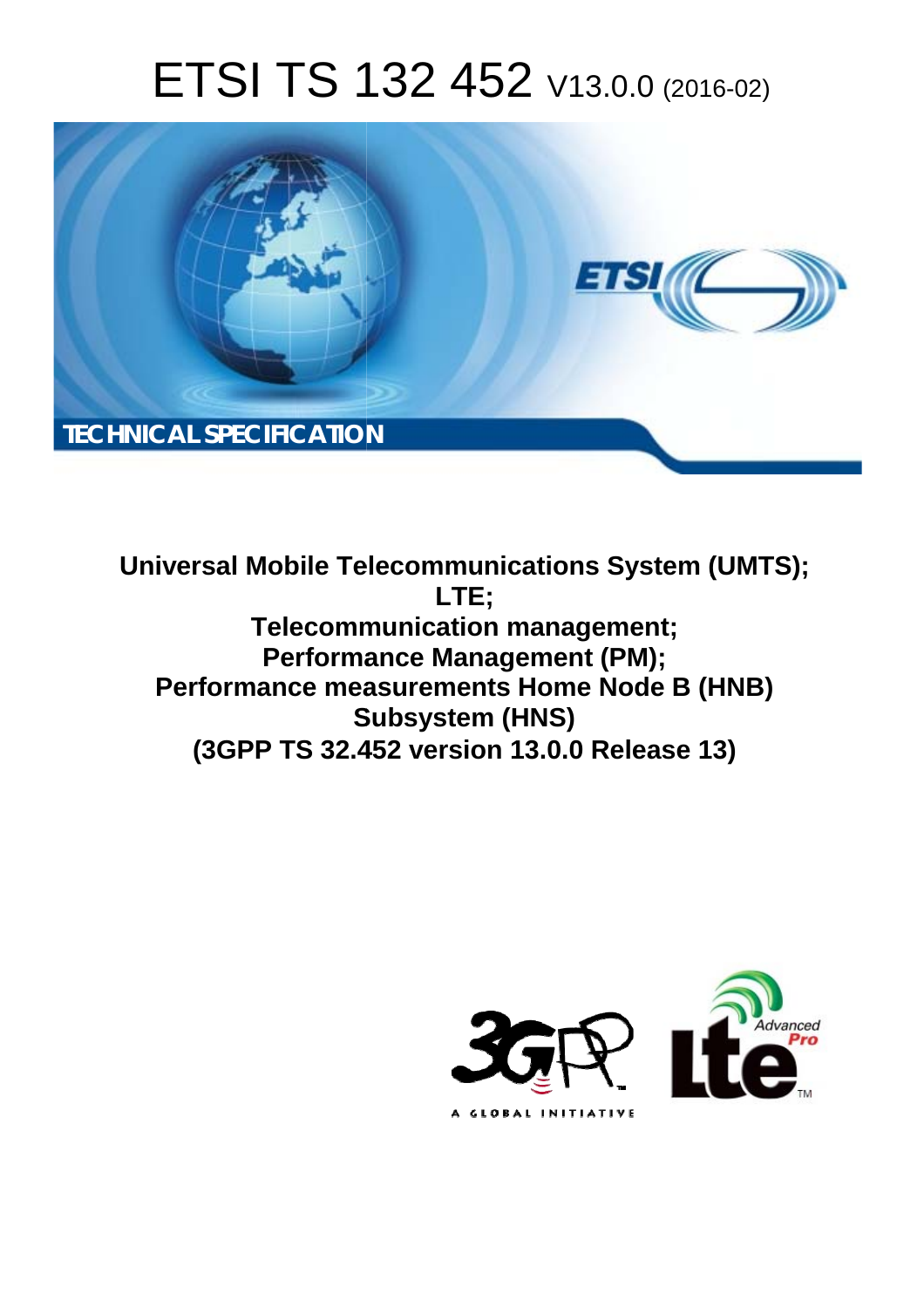# ETSI TS 132 452 V13.0.0 (2016-02)



**Universal Mobile Tel elecommunications System ( (UMTS); Telecomm munication management; Performa mance Management (PM); Performance measurements Home Node B (HNB) S Subsystem (HNS) (3GPP TS 32.4 .452 version 13.0.0 Release 13 13) LTE;** 

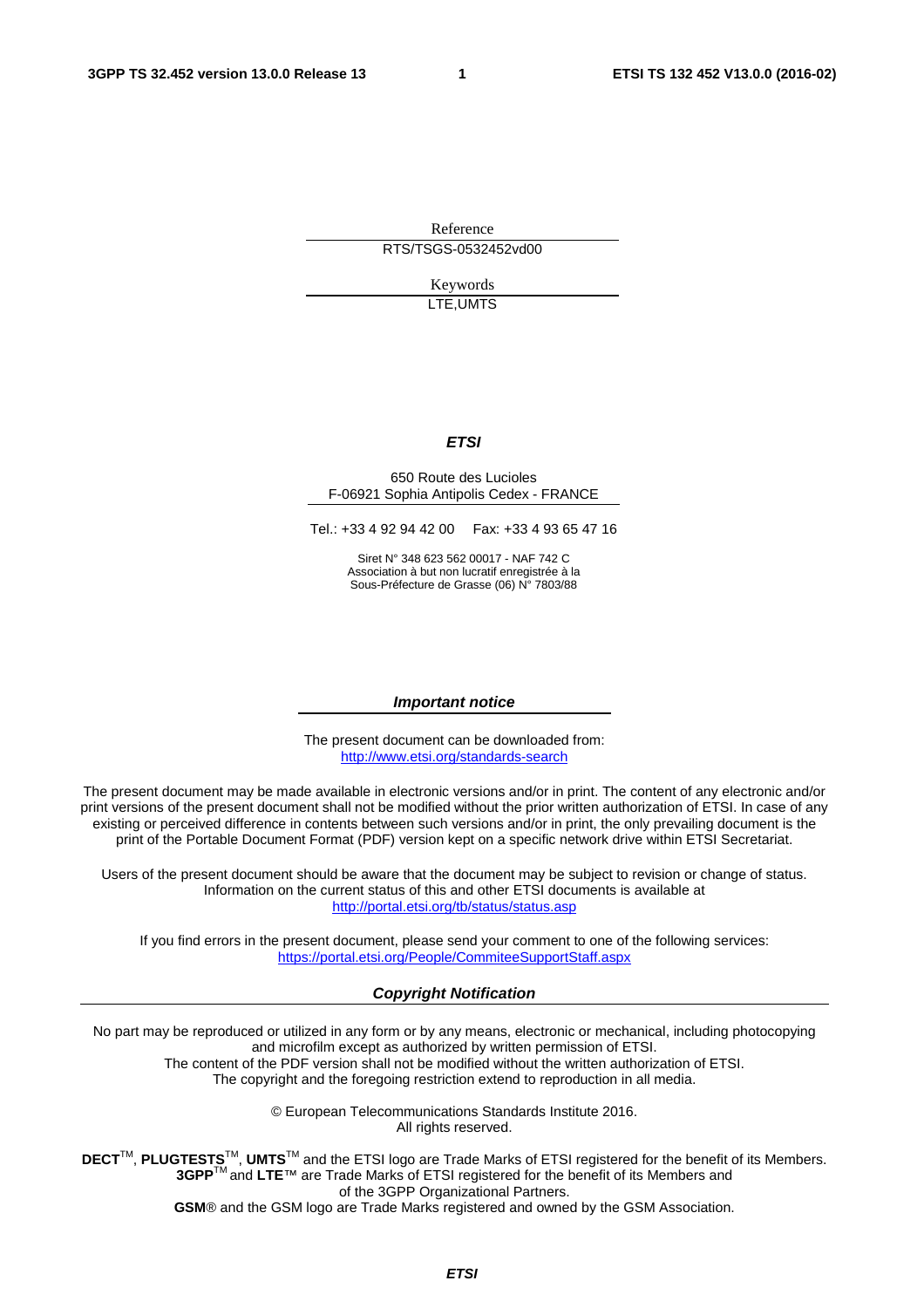Reference RTS/TSGS-0532452vd00

> Keywords LTE,UMTS

#### *ETSI*

#### 650 Route des Lucioles F-06921 Sophia Antipolis Cedex - FRANCE

Tel.: +33 4 92 94 42 00 Fax: +33 4 93 65 47 16

Siret N° 348 623 562 00017 - NAF 742 C Association à but non lucratif enregistrée à la Sous-Préfecture de Grasse (06) N° 7803/88

#### *Important notice*

The present document can be downloaded from: <http://www.etsi.org/standards-search>

The present document may be made available in electronic versions and/or in print. The content of any electronic and/or print versions of the present document shall not be modified without the prior written authorization of ETSI. In case of any existing or perceived difference in contents between such versions and/or in print, the only prevailing document is the print of the Portable Document Format (PDF) version kept on a specific network drive within ETSI Secretariat.

Users of the present document should be aware that the document may be subject to revision or change of status. Information on the current status of this and other ETSI documents is available at <http://portal.etsi.org/tb/status/status.asp>

If you find errors in the present document, please send your comment to one of the following services: <https://portal.etsi.org/People/CommiteeSupportStaff.aspx>

#### *Copyright Notification*

No part may be reproduced or utilized in any form or by any means, electronic or mechanical, including photocopying and microfilm except as authorized by written permission of ETSI.

The content of the PDF version shall not be modified without the written authorization of ETSI. The copyright and the foregoing restriction extend to reproduction in all media.

> © European Telecommunications Standards Institute 2016. All rights reserved.

**DECT**TM, **PLUGTESTS**TM, **UMTS**TM and the ETSI logo are Trade Marks of ETSI registered for the benefit of its Members. **3GPP**TM and **LTE**™ are Trade Marks of ETSI registered for the benefit of its Members and of the 3GPP Organizational Partners.

**GSM**® and the GSM logo are Trade Marks registered and owned by the GSM Association.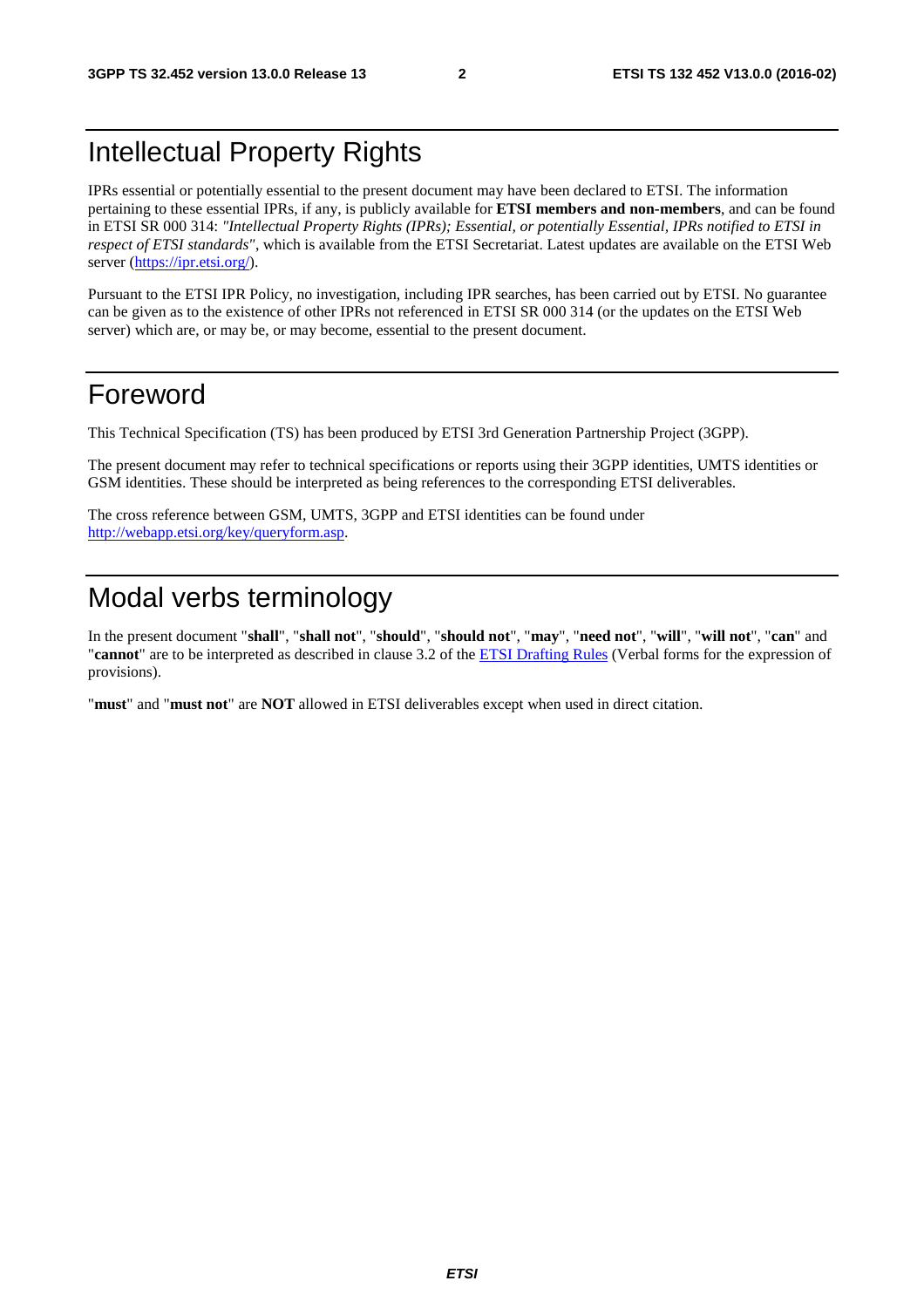# Intellectual Property Rights

IPRs essential or potentially essential to the present document may have been declared to ETSI. The information pertaining to these essential IPRs, if any, is publicly available for **ETSI members and non-members**, and can be found in ETSI SR 000 314: *"Intellectual Property Rights (IPRs); Essential, or potentially Essential, IPRs notified to ETSI in respect of ETSI standards"*, which is available from the ETSI Secretariat. Latest updates are available on the ETSI Web server ([https://ipr.etsi.org/\)](https://ipr.etsi.org/).

Pursuant to the ETSI IPR Policy, no investigation, including IPR searches, has been carried out by ETSI. No guarantee can be given as to the existence of other IPRs not referenced in ETSI SR 000 314 (or the updates on the ETSI Web server) which are, or may be, or may become, essential to the present document.

# Foreword

This Technical Specification (TS) has been produced by ETSI 3rd Generation Partnership Project (3GPP).

The present document may refer to technical specifications or reports using their 3GPP identities, UMTS identities or GSM identities. These should be interpreted as being references to the corresponding ETSI deliverables.

The cross reference between GSM, UMTS, 3GPP and ETSI identities can be found under [http://webapp.etsi.org/key/queryform.asp.](http://webapp.etsi.org/key/queryform.asp)

# Modal verbs terminology

In the present document "**shall**", "**shall not**", "**should**", "**should not**", "**may**", "**need not**", "**will**", "**will not**", "**can**" and "**cannot**" are to be interpreted as described in clause 3.2 of the [ETSI Drafting Rules](http://portal.etsi.org/Help/editHelp!/Howtostart/ETSIDraftingRules.aspx) (Verbal forms for the expression of provisions).

"**must**" and "**must not**" are **NOT** allowed in ETSI deliverables except when used in direct citation.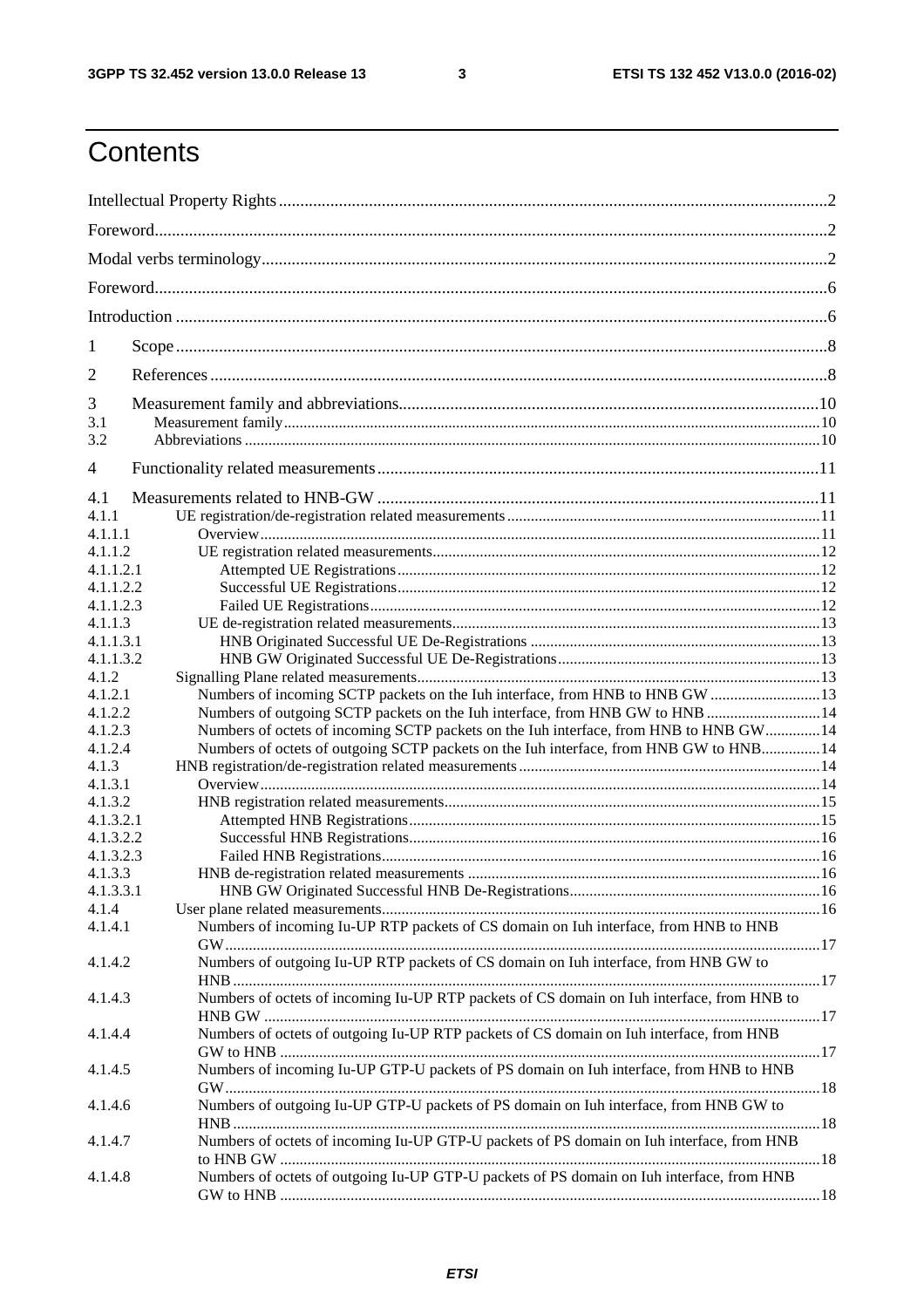$\mathbf{3}$ 

# Contents

| 1         |                                                                                            |  |  |  |  |
|-----------|--------------------------------------------------------------------------------------------|--|--|--|--|
| 2         |                                                                                            |  |  |  |  |
|           |                                                                                            |  |  |  |  |
| 3<br>3.1  |                                                                                            |  |  |  |  |
| 3.2       |                                                                                            |  |  |  |  |
| 4         |                                                                                            |  |  |  |  |
| 4.1       |                                                                                            |  |  |  |  |
| 4.1.1     |                                                                                            |  |  |  |  |
| 4.1.1.1   |                                                                                            |  |  |  |  |
| 4.1.1.2   |                                                                                            |  |  |  |  |
| 4.1.1.2.1 |                                                                                            |  |  |  |  |
| 4.1.1.2.2 |                                                                                            |  |  |  |  |
| 4.1.1.2.3 |                                                                                            |  |  |  |  |
| 4.1.1.3   |                                                                                            |  |  |  |  |
| 4.1.1.3.1 |                                                                                            |  |  |  |  |
| 4.1.1.3.2 |                                                                                            |  |  |  |  |
| 4.1.2     |                                                                                            |  |  |  |  |
| 4.1.2.1   | Numbers of incoming SCTP packets on the Iuh interface, from HNB to HNB GW  13              |  |  |  |  |
| 4.1.2.2   | Numbers of outgoing SCTP packets on the Iuh interface, from HNB GW to HNB  14              |  |  |  |  |
| 4.1.2.3   | Numbers of octets of incoming SCTP packets on the Iuh interface, from HNB to HNB GW 14     |  |  |  |  |
| 4.1.2.4   | Numbers of octets of outgoing SCTP packets on the Iuh interface, from HNB GW to HNB 14     |  |  |  |  |
| 4.1.3     |                                                                                            |  |  |  |  |
| 4.1.3.1   |                                                                                            |  |  |  |  |
| 4.1.3.2   |                                                                                            |  |  |  |  |
| 4.1.3.2.1 |                                                                                            |  |  |  |  |
| 4.1.3.2.2 |                                                                                            |  |  |  |  |
| 4.1.3.2.3 |                                                                                            |  |  |  |  |
| 4.1.3.3   |                                                                                            |  |  |  |  |
| 4.1.3.3.1 |                                                                                            |  |  |  |  |
| 4.1.4     |                                                                                            |  |  |  |  |
| 4.1.4.1   | Numbers of incoming Iu-UP RTP packets of CS domain on Iuh interface, from HNB to HNB       |  |  |  |  |
|           |                                                                                            |  |  |  |  |
| 4.1.4.2   | Numbers of outgoing Iu-UP RTP packets of CS domain on Iuh interface, from HNB GW to        |  |  |  |  |
| 4.1.4.3   | Numbers of octets of incoming Iu-UP RTP packets of CS domain on Iuh interface, from HNB to |  |  |  |  |
| 4.1.4.4   | Numbers of octets of outgoing Iu-UP RTP packets of CS domain on Iuh interface, from HNB    |  |  |  |  |
| 4.1.4.5   | Numbers of incoming Iu-UP GTP-U packets of PS domain on Iuh interface, from HNB to HNB     |  |  |  |  |
|           |                                                                                            |  |  |  |  |
| 4.1.4.6   | Numbers of outgoing Iu-UP GTP-U packets of PS domain on Iuh interface, from HNB GW to      |  |  |  |  |
| 4.1.4.7   | Numbers of octets of incoming Iu-UP GTP-U packets of PS domain on Iuh interface, from HNB  |  |  |  |  |
| 4.1.4.8   | Numbers of octets of outgoing Iu-UP GTP-U packets of PS domain on Iuh interface, from HNB  |  |  |  |  |
|           |                                                                                            |  |  |  |  |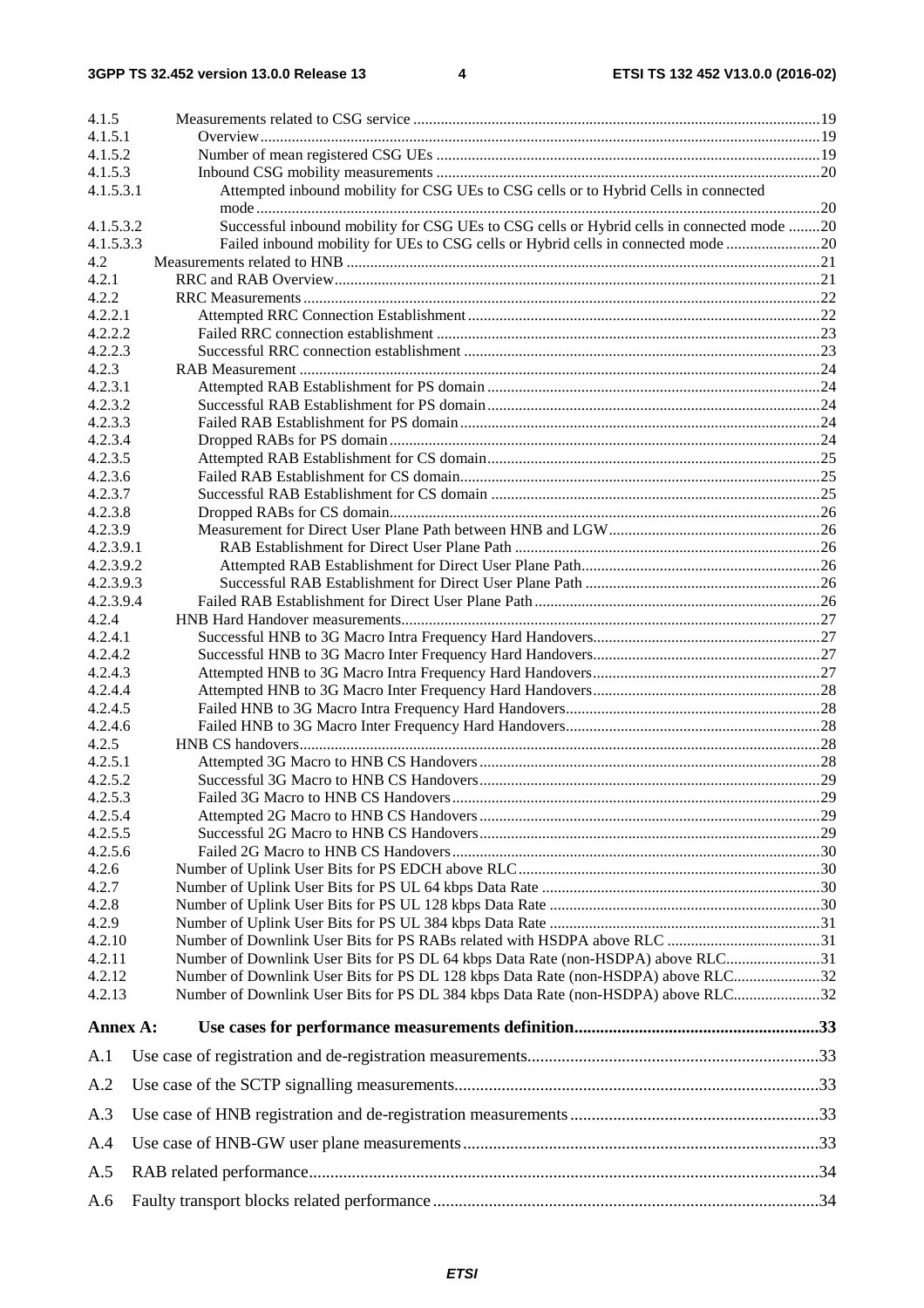| 4.1.5     |                                                                                           |  |  |  |  |
|-----------|-------------------------------------------------------------------------------------------|--|--|--|--|
| 4.1.5.1   |                                                                                           |  |  |  |  |
| 4.1.5.2   |                                                                                           |  |  |  |  |
| 4.1.5.3   |                                                                                           |  |  |  |  |
| 4.1.5.3.1 | Attempted inbound mobility for CSG UEs to CSG cells or to Hybrid Cells in connected       |  |  |  |  |
|           |                                                                                           |  |  |  |  |
| 4.1.5.3.2 | Successful inbound mobility for CSG UEs to CSG cells or Hybrid cells in connected mode 20 |  |  |  |  |
| 4.1.5.3.3 | Failed inbound mobility for UEs to CSG cells or Hybrid cells in connected mode 20         |  |  |  |  |
| 4.2       |                                                                                           |  |  |  |  |
| 4.2.1     |                                                                                           |  |  |  |  |
| 4.2.2     |                                                                                           |  |  |  |  |
| 4.2.2.1   |                                                                                           |  |  |  |  |
| 4.2.2.2   |                                                                                           |  |  |  |  |
| 4.2.2.3   |                                                                                           |  |  |  |  |
| 4.2.3     |                                                                                           |  |  |  |  |
| 4.2.3.1   |                                                                                           |  |  |  |  |
| 4.2.3.2   |                                                                                           |  |  |  |  |
| 4.2.3.3   |                                                                                           |  |  |  |  |
| 4.2.3.4   |                                                                                           |  |  |  |  |
| 4.2.3.5   |                                                                                           |  |  |  |  |
| 4.2.3.6   |                                                                                           |  |  |  |  |
| 4.2.3.7   |                                                                                           |  |  |  |  |
| 4.2.3.8   |                                                                                           |  |  |  |  |
| 4.2.3.9   |                                                                                           |  |  |  |  |
| 4.2.3.9.1 |                                                                                           |  |  |  |  |
| 4.2.3.9.2 |                                                                                           |  |  |  |  |
| 4.2.3.9.3 |                                                                                           |  |  |  |  |
| 4.2.3.9.4 |                                                                                           |  |  |  |  |
| 4.2.4     |                                                                                           |  |  |  |  |
| 4.2.4.1   |                                                                                           |  |  |  |  |
| 4.2.4.2   |                                                                                           |  |  |  |  |
| 4.2.4.3   |                                                                                           |  |  |  |  |
| 4.2.4.4   |                                                                                           |  |  |  |  |
| 4.2.4.5   |                                                                                           |  |  |  |  |
| 4.2.4.6   |                                                                                           |  |  |  |  |
| 4.2.5     |                                                                                           |  |  |  |  |
| 4.2.5.1   |                                                                                           |  |  |  |  |
| 4.2.5.2   |                                                                                           |  |  |  |  |
| 4.2.5.3   |                                                                                           |  |  |  |  |
| 4.2.5.4   |                                                                                           |  |  |  |  |
| 4.2.5.5   |                                                                                           |  |  |  |  |
| 4.2.5.6   |                                                                                           |  |  |  |  |
| 4.2.6     |                                                                                           |  |  |  |  |
| 4.2.7     |                                                                                           |  |  |  |  |
| 4.2.8     |                                                                                           |  |  |  |  |
| 4.2.9     |                                                                                           |  |  |  |  |
| 4.2.10    |                                                                                           |  |  |  |  |
| 4.2.11    | Number of Downlink User Bits for PS DL 64 kbps Data Rate (non-HSDPA) above RLC31          |  |  |  |  |
| 4.2.12    | Number of Downlink User Bits for PS DL 128 kbps Data Rate (non-HSDPA) above RLC32         |  |  |  |  |
| 4.2.13    | Number of Downlink User Bits for PS DL 384 kbps Data Rate (non-HSDPA) above RLC32         |  |  |  |  |
| Annex A:  |                                                                                           |  |  |  |  |
| A.1       |                                                                                           |  |  |  |  |
| A.2       |                                                                                           |  |  |  |  |
| A.3       |                                                                                           |  |  |  |  |
| A.4       |                                                                                           |  |  |  |  |
| A.5       |                                                                                           |  |  |  |  |
| A.6       |                                                                                           |  |  |  |  |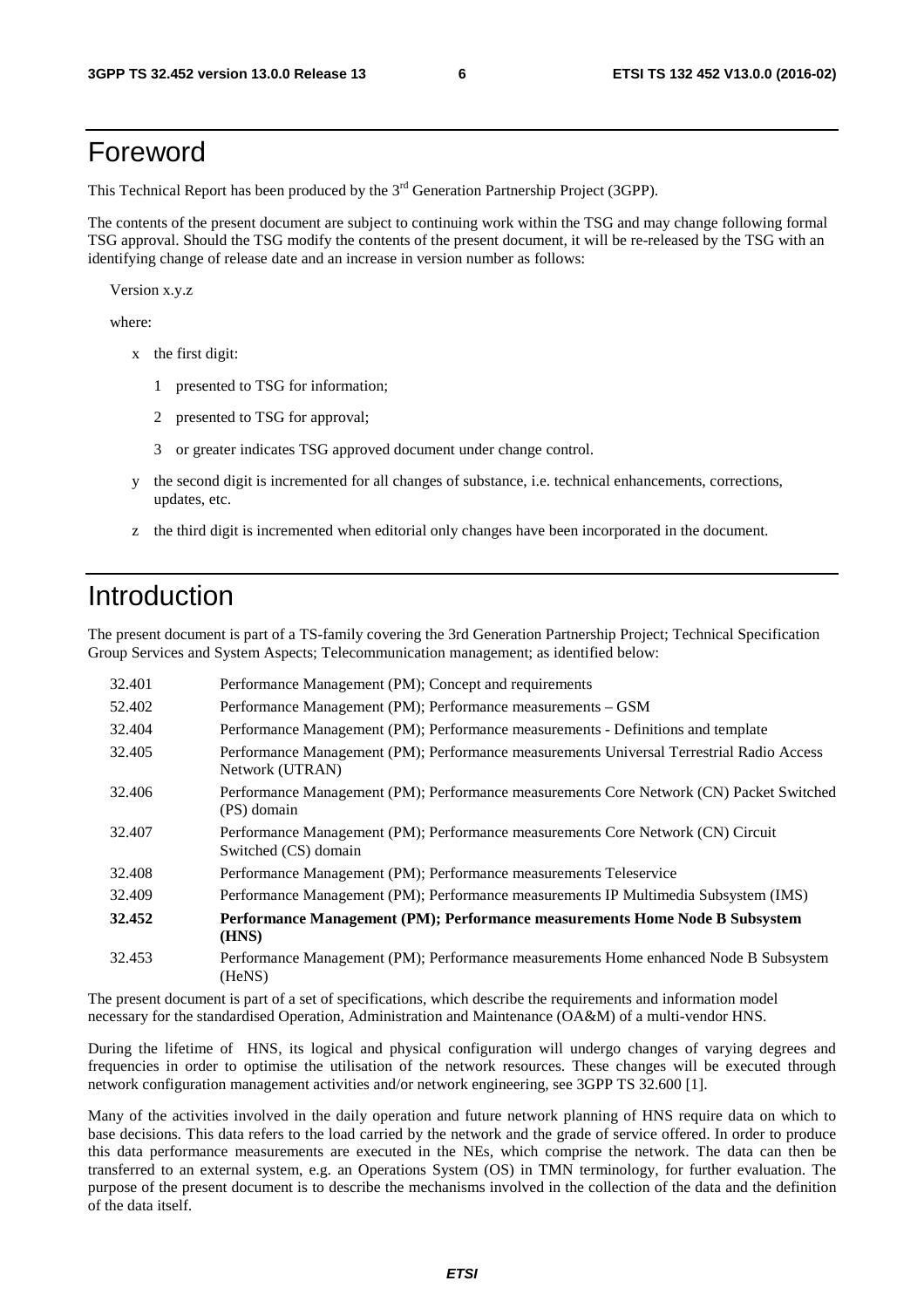# Foreword

This Technical Report has been produced by the  $3<sup>rd</sup>$  Generation Partnership Project (3GPP).

The contents of the present document are subject to continuing work within the TSG and may change following formal TSG approval. Should the TSG modify the contents of the present document, it will be re-released by the TSG with an identifying change of release date and an increase in version number as follows:

Version x.y.z

where:

- x the first digit:
	- 1 presented to TSG for information;
	- 2 presented to TSG for approval;
	- 3 or greater indicates TSG approved document under change control.
- y the second digit is incremented for all changes of substance, i.e. technical enhancements, corrections, updates, etc.
- z the third digit is incremented when editorial only changes have been incorporated in the document.

# Introduction

The present document is part of a TS-family covering the 3rd Generation Partnership Project; Technical Specification Group Services and System Aspects; Telecommunication management; as identified below:

| 32.401 | Performance Management (PM); Concept and requirements                                                       |
|--------|-------------------------------------------------------------------------------------------------------------|
| 52.402 | Performance Management (PM); Performance measurements - GSM                                                 |
| 32.404 | Performance Management (PM); Performance measurements - Definitions and template                            |
| 32.405 | Performance Management (PM); Performance measurements Universal Terrestrial Radio Access<br>Network (UTRAN) |
| 32.406 | Performance Management (PM); Performance measurements Core Network (CN) Packet Switched<br>(PS) domain      |
| 32.407 | Performance Management (PM); Performance measurements Core Network (CN) Circuit<br>Switched (CS) domain     |
| 32.408 | Performance Management (PM); Performance measurements Teleservice                                           |
| 32.409 | Performance Management (PM); Performance measurements IP Multimedia Subsystem (IMS)                         |
| 32.452 | Performance Management (PM); Performance measurements Home Node B Subsystem<br>(HNS)                        |
| 32.453 | Performance Management (PM); Performance measurements Home enhanced Node B Subsystem<br>(HeNS)              |

The present document is part of a set of specifications, which describe the requirements and information model necessary for the standardised Operation, Administration and Maintenance (OA&M) of a multi-vendor HNS.

During the lifetime of HNS, its logical and physical configuration will undergo changes of varying degrees and frequencies in order to optimise the utilisation of the network resources. These changes will be executed through network configuration management activities and/or network engineering, see 3GPP TS 32.600 [1].

Many of the activities involved in the daily operation and future network planning of HNS require data on which to base decisions. This data refers to the load carried by the network and the grade of service offered. In order to produce this data performance measurements are executed in the NEs, which comprise the network. The data can then be transferred to an external system, e.g. an Operations System (OS) in TMN terminology, for further evaluation. The purpose of the present document is to describe the mechanisms involved in the collection of the data and the definition of the data itself.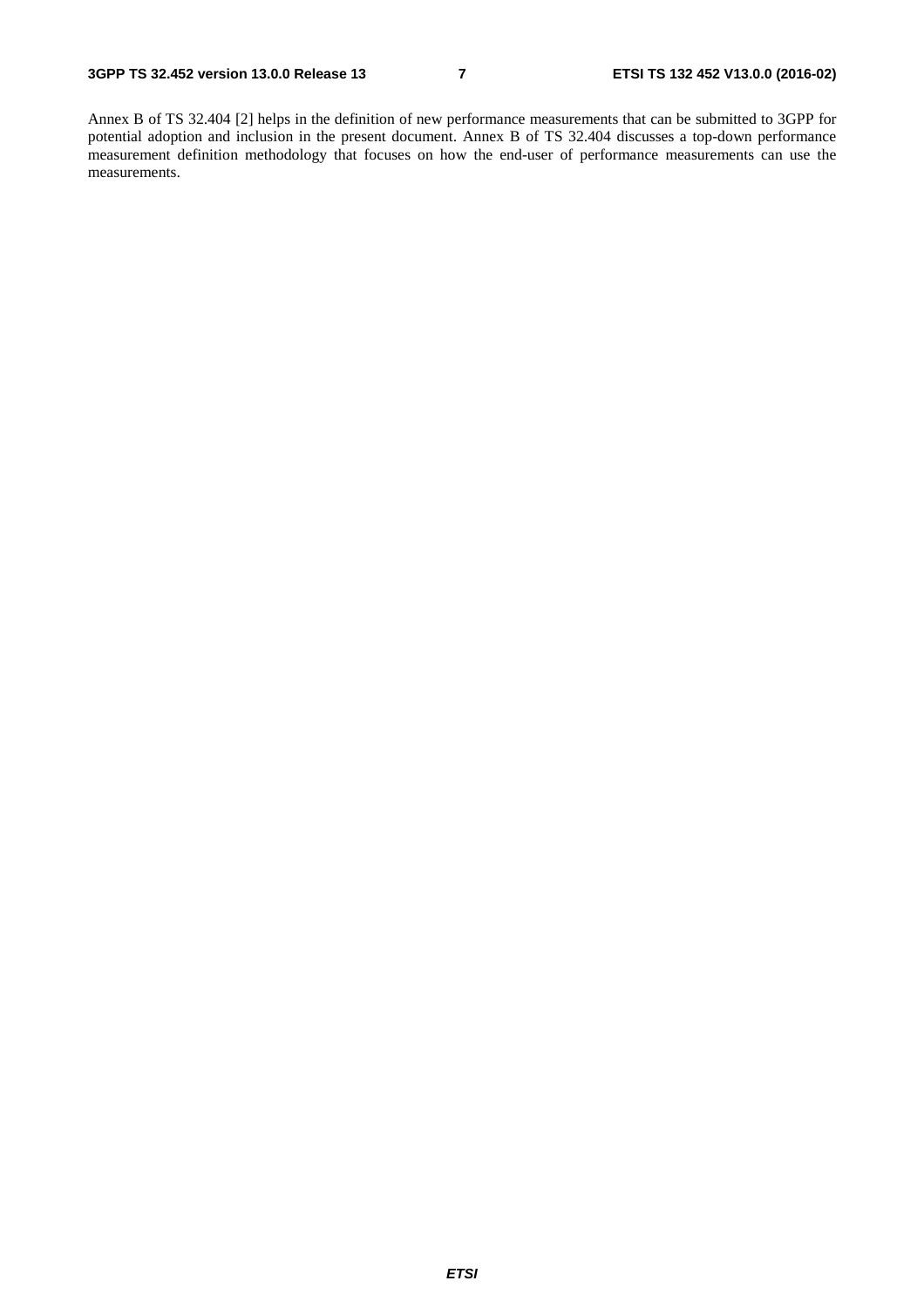Annex B of TS 32.404 [2] helps in the definition of new performance measurements that can be submitted to 3GPP for potential adoption and inclusion in the present document. Annex B of TS 32.404 discusses a top-down performance measurement definition methodology that focuses on how the end-user of performance measurements can use the measurements.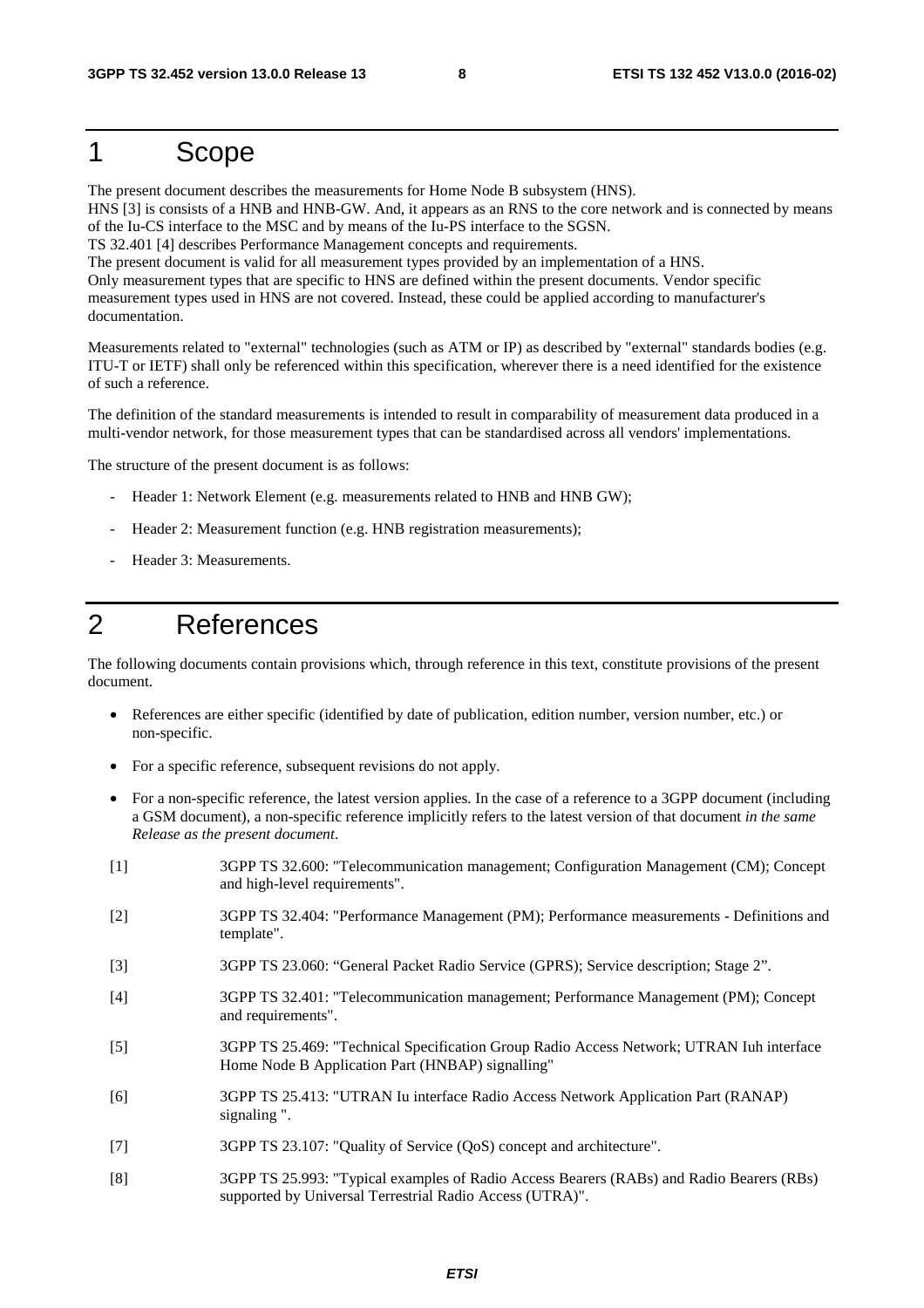# 1 Scope

The present document describes the measurements for Home Node B subsystem (HNS).

HNS [3] is consists of a HNB and HNB-GW. And, it appears as an RNS to the core network and is connected by means of the Iu-CS interface to the MSC and by means of the Iu-PS interface to the SGSN.

TS 32.401 [4] describes Performance Management concepts and requirements.

The present document is valid for all measurement types provided by an implementation of a HNS. Only measurement types that are specific to HNS are defined within the present documents. Vendor specific measurement types used in HNS are not covered. Instead, these could be applied according to manufacturer's documentation.

Measurements related to "external" technologies (such as ATM or IP) as described by "external" standards bodies (e.g. ITU-T or IETF) shall only be referenced within this specification, wherever there is a need identified for the existence of such a reference.

The definition of the standard measurements is intended to result in comparability of measurement data produced in a multi-vendor network, for those measurement types that can be standardised across all vendors' implementations.

The structure of the present document is as follows:

- Header 1: Network Element (e.g. measurements related to HNB and HNB GW);
- Header 2: Measurement function (e.g. HNB registration measurements);
- Header 3: Measurements.

# 2 References

The following documents contain provisions which, through reference in this text, constitute provisions of the present document.

- References are either specific (identified by date of publication, edition number, version number, etc.) or non-specific.
- For a specific reference, subsequent revisions do not apply.
- For a non-specific reference, the latest version applies. In the case of a reference to a 3GPP document (including a GSM document), a non-specific reference implicitly refers to the latest version of that document *in the same Release as the present document*.
- [1] 3GPP TS 32.600: "Telecommunication management; Configuration Management (CM); Concept and high-level requirements".
- [2] 3GPP TS 32.404: "Performance Management (PM); Performance measurements Definitions and template".
- [3] 3GPP TS 23.060: "General Packet Radio Service (GPRS); Service description; Stage 2".
- [4] 3GPP TS 32.401: "Telecommunication management; Performance Management (PM); Concept and requirements".
- [5] 3GPP TS 25.469: "Technical Specification Group Radio Access Network; UTRAN Iuh interface Home Node B Application Part (HNBAP) signalling"
- [6] 3GPP TS 25.413: "UTRAN Iu interface Radio Access Network Application Part (RANAP) signaling ".
- [7] 3GPP TS 23.107: "Quality of Service (QoS) concept and architecture".
- [8] 3GPP TS 25.993: "Typical examples of Radio Access Bearers (RABs) and Radio Bearers (RBs) supported by Universal Terrestrial Radio Access (UTRA)".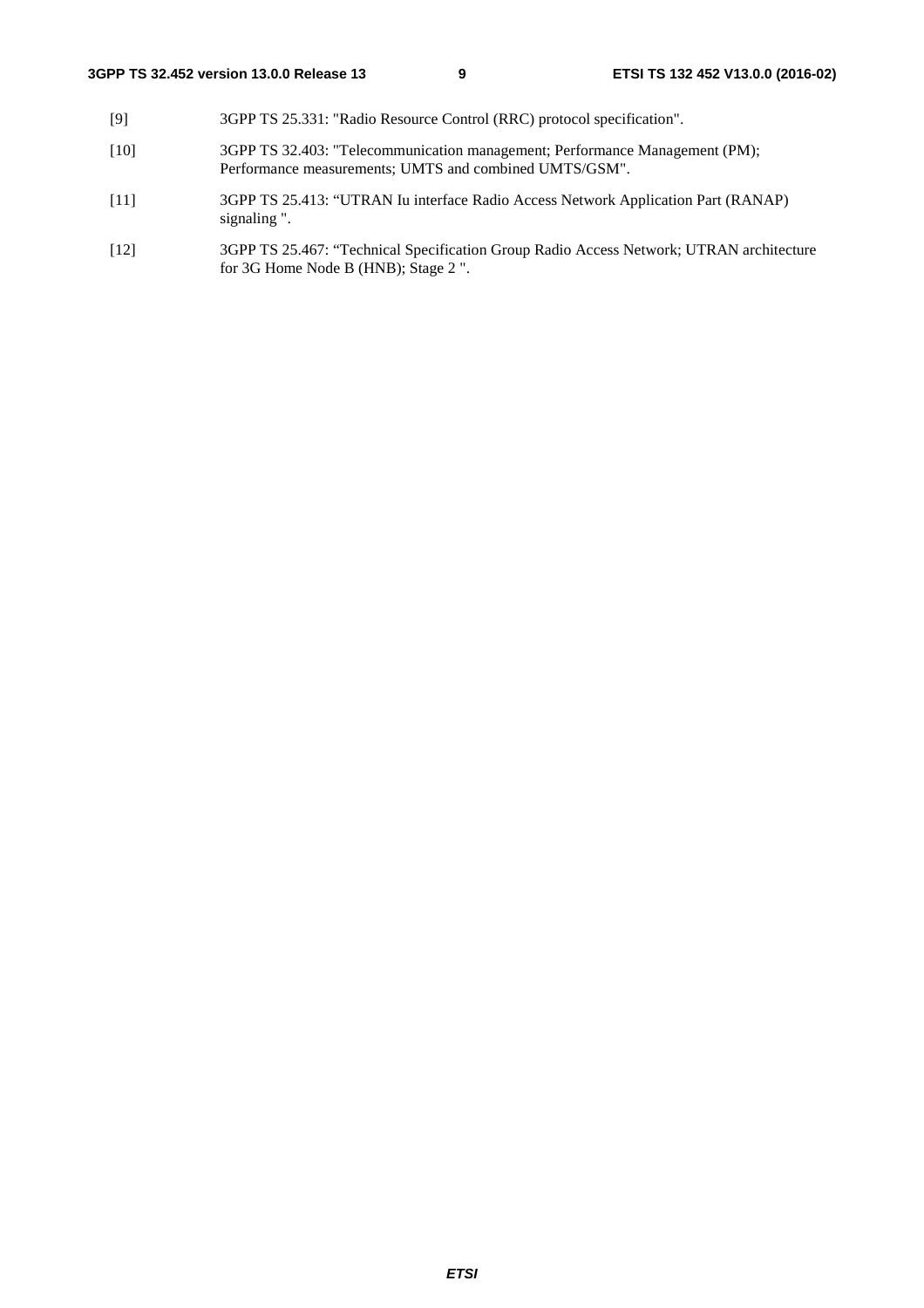- [9] 3GPP TS 25.331: "Radio Resource Control (RRC) protocol specification".
- [10] 3GPP TS 32.403: "Telecommunication management; Performance Management (PM); Performance measurements; UMTS and combined UMTS/GSM".
- [11] 3GPP TS 25.413: "UTRAN Iu interface Radio Access Network Application Part (RANAP) signaling ".
- [12] 3GPP TS 25.467: "Technical Specification Group Radio Access Network; UTRAN architecture for 3G Home Node B (HNB); Stage 2 ".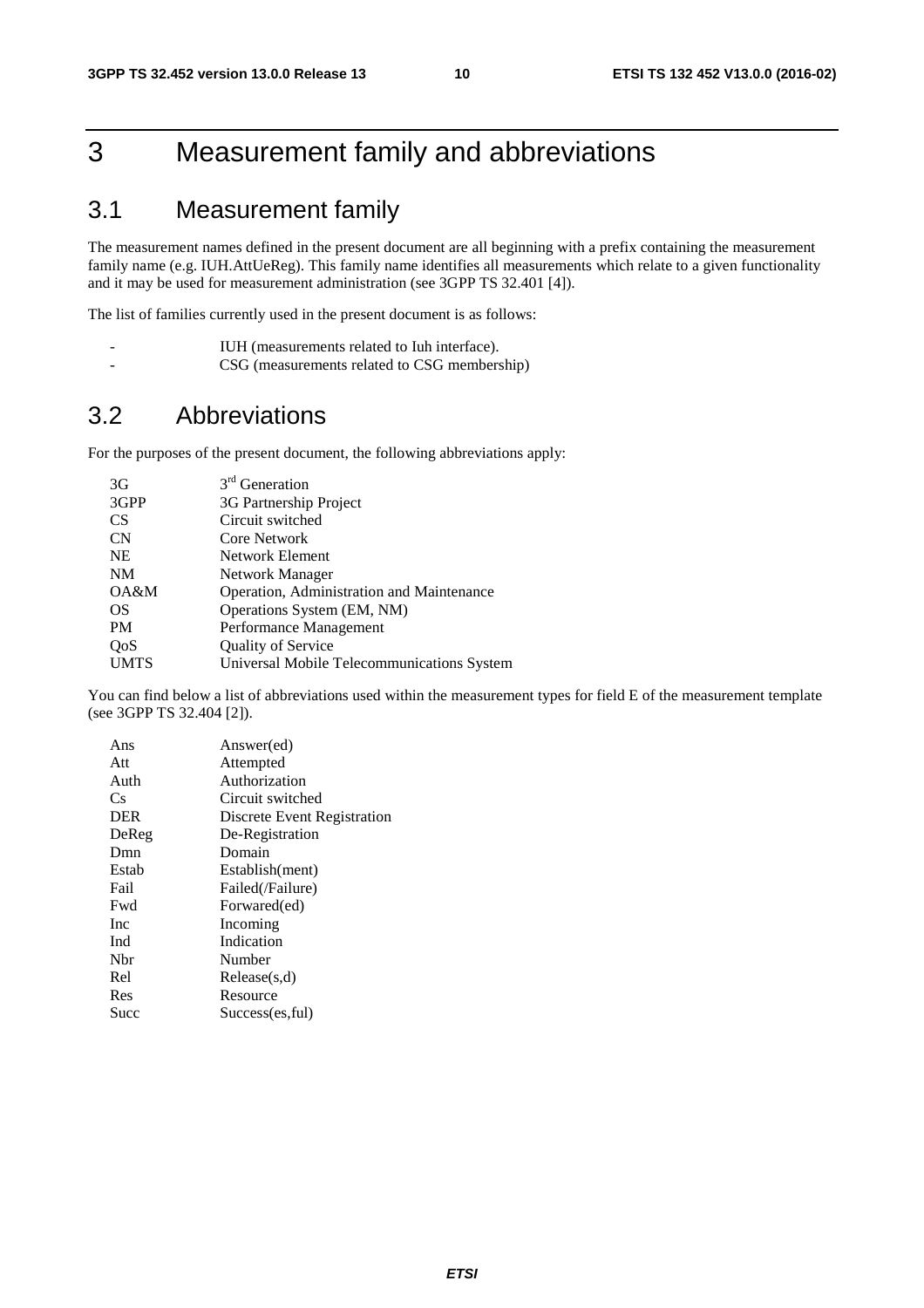# 3 Measurement family and abbreviations

# 3.1 Measurement family

The measurement names defined in the present document are all beginning with a prefix containing the measurement family name (e.g. IUH.AttUeReg). This family name identifies all measurements which relate to a given functionality and it may be used for measurement administration (see 3GPP TS 32.401 [4]).

The list of families currently used in the present document is as follows:

IUH (measurements related to Iuh interface). - CSG (measurements related to CSG membership)

# 3.2 Abbreviations

For the purposes of the present document, the following abbreviations apply:

| 3G          | 3 <sup>rd</sup> Generation                 |
|-------------|--------------------------------------------|
| 3GPP        | 3G Partnership Project                     |
| <b>CS</b>   | Circuit switched                           |
| <b>CN</b>   | Core Network                               |
| <b>NE</b>   | Network Element                            |
| <b>NM</b>   | Network Manager                            |
| OA&M        | Operation, Administration and Maintenance  |
| OS          | Operations System (EM, NM)                 |
| <b>PM</b>   | Performance Management                     |
| QoS         | <b>Quality of Service</b>                  |
| <b>UMTS</b> | Universal Mobile Telecommunications System |

You can find below a list of abbreviations used within the measurement types for field E of the measurement template (see 3GPP TS 32.404 [2]).

| Ans        | Answer(ed)                  |
|------------|-----------------------------|
| Att        | Attempted                   |
| Auth       | Authorization               |
| Cs.        | Circuit switched            |
| <b>DER</b> | Discrete Event Registration |
| DeReg      | De-Registration             |
| Dmn        | Domain                      |
| Estab      | Establish(ment)             |
| Fail       | Failed(/Failure)            |
| Fwd        | Forwared(ed)                |
| Inc        | Incoming                    |
| Ind        | Indication                  |
| Nbr        | Number                      |
| Rel        | Release(s,d)                |
| Res        | Resource                    |
| Succ       | Success(es, ful)            |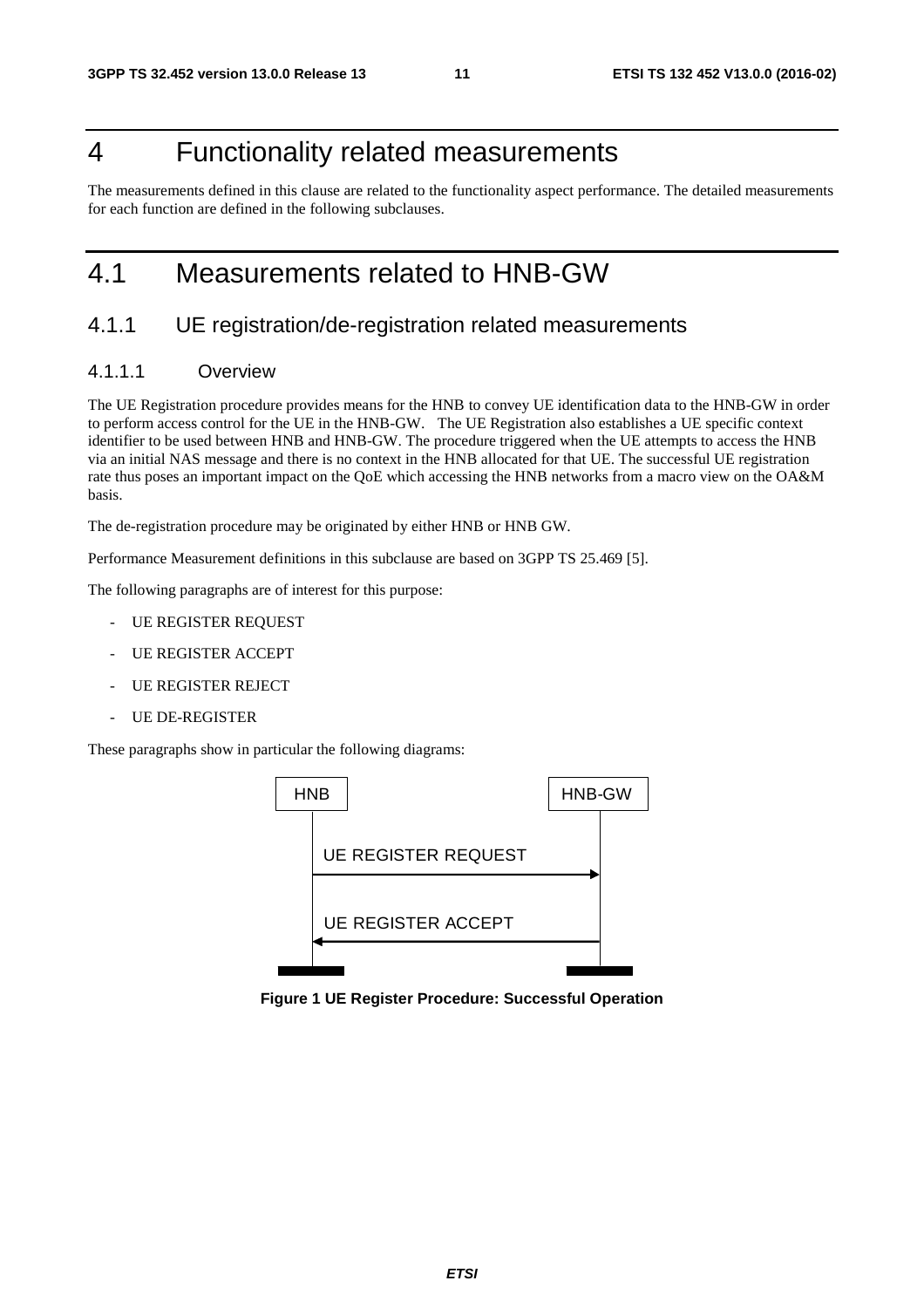# 4 Functionality related measurements

The measurements defined in this clause are related to the functionality aspect performance. The detailed measurements for each function are defined in the following subclauses.

# 4.1 Measurements related to HNB-GW

# 4.1.1 UE registration/de-registration related measurements

### 4.1.1.1 Overview

The UE Registration procedure provides means for the HNB to convey UE identification data to the HNB-GW in order to perform access control for the UE in the HNB-GW. The UE Registration also establishes a UE specific context identifier to be used between HNB and HNB-GW. The procedure triggered when the UE attempts to access the HNB via an initial NAS message and there is no context in the HNB allocated for that UE. The successful UE registration rate thus poses an important impact on the QoE which accessing the HNB networks from a macro view on the OA&M basis.

The de-registration procedure may be originated by either HNB or HNB GW.

Performance Measurement definitions in this subclause are based on 3GPP TS 25.469 [5].

The following paragraphs are of interest for this purpose:

- UE REGISTER REQUEST
- UE REGISTER ACCEPT
- UE REGISTER REJECT
- UE DE-REGISTER

These paragraphs show in particular the following diagrams:



**Figure 1 UE Register Procedure: Successful Operation**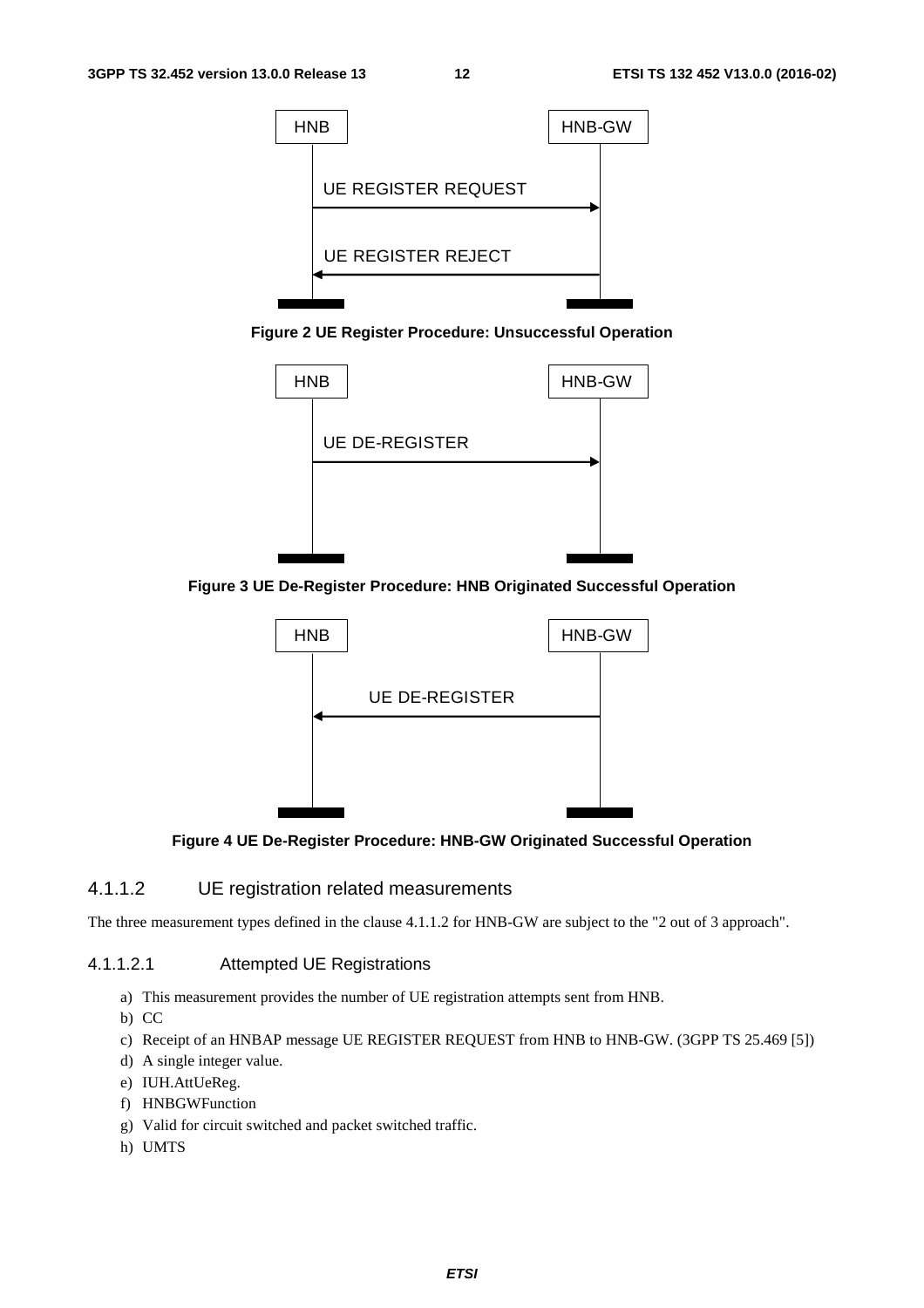

**Figure 2 UE Register Procedure: Unsuccessful Operation** 



**Figure 3 UE De-Register Procedure: HNB Originated Successful Operation** 



**Figure 4 UE De-Register Procedure: HNB-GW Originated Successful Operation** 

# 4.1.1.2 UE registration related measurements

The three measurement types defined in the clause 4.1.1.2 for HNB-GW are subject to the "2 out of 3 approach".

# 4.1.1.2.1 Attempted UE Registrations

- a) This measurement provides the number of UE registration attempts sent from HNB.
- b) CC
- c) Receipt of an HNBAP message UE REGISTER REQUEST from HNB to HNB-GW. (3GPP TS 25.469 [5])
- d) A single integer value.
- e) IUH.AttUeReg.
- f) HNBGWFunction
- g) Valid for circuit switched and packet switched traffic.
- h) UMTS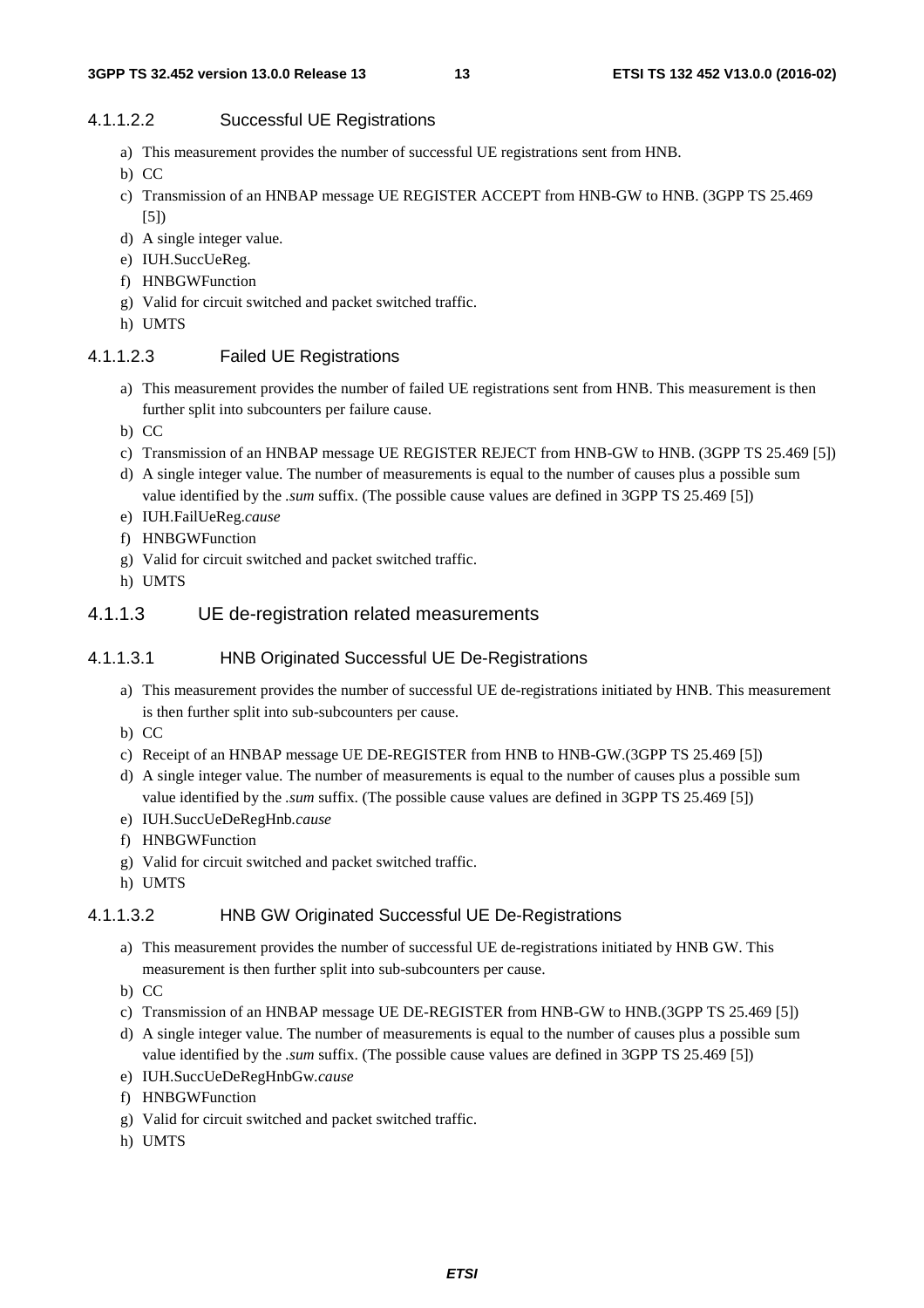### 4.1.1.2.2 Successful UE Registrations

- a) This measurement provides the number of successful UE registrations sent from HNB.
- b) CC
- c) Transmission of an HNBAP message UE REGISTER ACCEPT from HNB-GW to HNB. (3GPP TS 25.469 [5])
- d) A single integer value.
- e) IUH.SuccUeReg.
- f) HNBGWFunction
- g) Valid for circuit switched and packet switched traffic.
- h) UMTS

### 4.1.1.2.3 Failed UE Registrations

- a) This measurement provides the number of failed UE registrations sent from HNB. This measurement is then further split into subcounters per failure cause.
- b) CC
- c) Transmission of an HNBAP message UE REGISTER REJECT from HNB-GW to HNB. (3GPP TS 25.469 [5])
- d) A single integer value. The number of measurements is equal to the number of causes plus a possible sum value identified by the *.sum* suffix. (The possible cause values are defined in 3GPP TS 25.469 [5])
- e) IUH.FailUeReg.*cause*
- f) HNBGWFunction
- g) Valid for circuit switched and packet switched traffic.
- h) UMTS

### 4.1.1.3 UE de-registration related measurements

### 4.1.1.3.1 HNB Originated Successful UE De-Registrations

- a) This measurement provides the number of successful UE de-registrations initiated by HNB. This measurement is then further split into sub-subcounters per cause.
- b) CC
- c) Receipt of an HNBAP message UE DE-REGISTER from HNB to HNB-GW.(3GPP TS 25.469 [5])
- d) A single integer value. The number of measurements is equal to the number of causes plus a possible sum value identified by the *.sum* suffix. (The possible cause values are defined in 3GPP TS 25.469 [5])
- e) IUH.SuccUeDeRegHnb*.cause*
- f) HNBGWFunction
- g) Valid for circuit switched and packet switched traffic.
- h) UMTS

### 4.1.1.3.2 HNB GW Originated Successful UE De-Registrations

- a) This measurement provides the number of successful UE de-registrations initiated by HNB GW. This measurement is then further split into sub-subcounters per cause.
- b) CC
- c) Transmission of an HNBAP message UE DE-REGISTER from HNB-GW to HNB.(3GPP TS 25.469 [5])
- d) A single integer value. The number of measurements is equal to the number of causes plus a possible sum value identified by the *.sum* suffix. (The possible cause values are defined in 3GPP TS 25.469 [5])
- e) IUH.SuccUeDeRegHnbGw*.cause*
- f) HNBGWFunction
- g) Valid for circuit switched and packet switched traffic.
- h) UMTS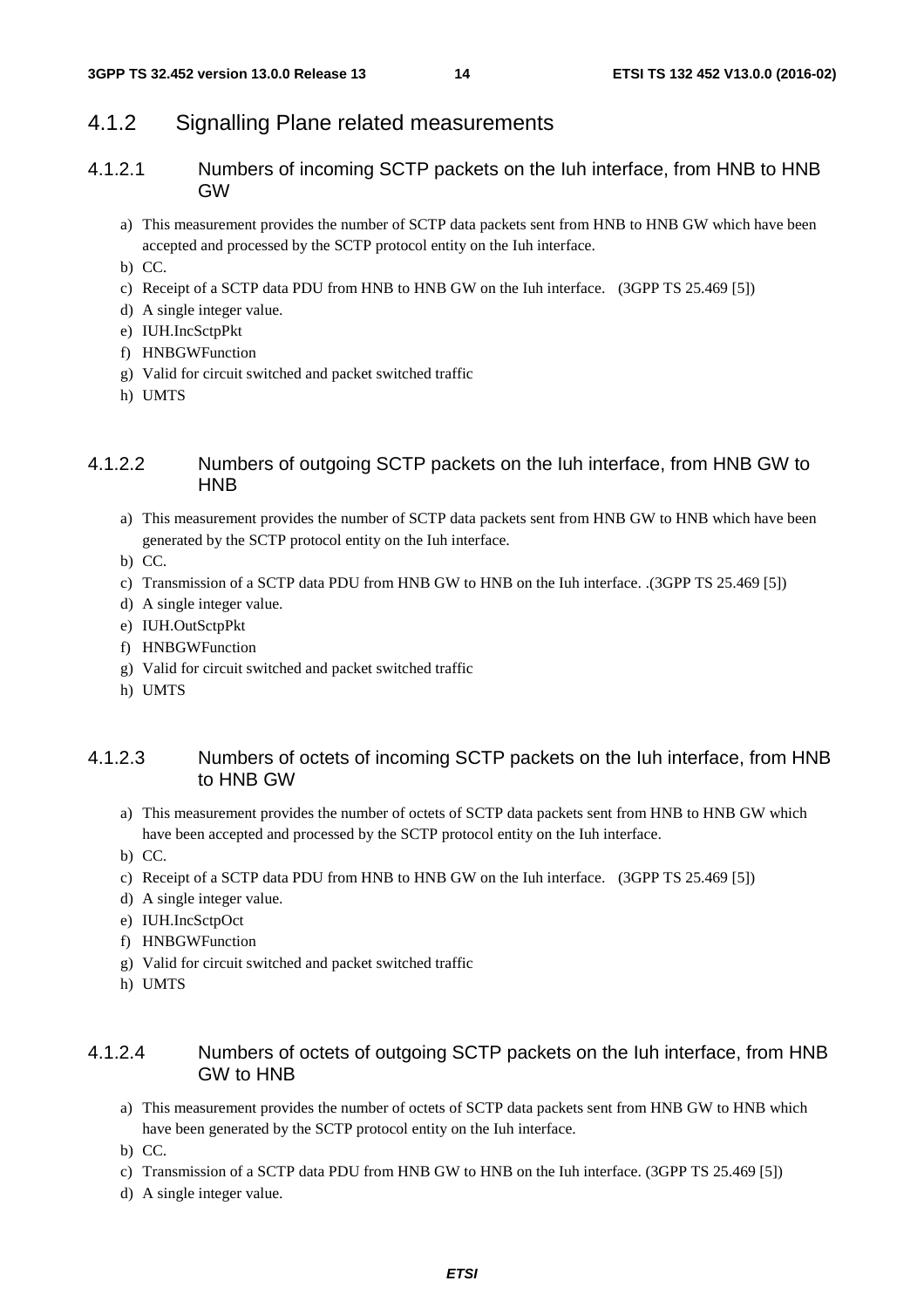# 4.1.2 Signalling Plane related measurements

- 4.1.2.1 Numbers of incoming SCTP packets on the Iuh interface, from HNB to HNB GW
	- a) This measurement provides the number of SCTP data packets sent from HNB to HNB GW which have been accepted and processed by the SCTP protocol entity on the Iuh interface.
	- b) CC.
	- c) Receipt of a SCTP data PDU from HNB to HNB GW on the Iuh interface. (3GPP TS 25.469 [5])
	- d) A single integer value.
	- e) IUH.IncSctpPkt
	- f) HNBGWFunction
	- g) Valid for circuit switched and packet switched traffic
	- h) UMTS

# 4.1.2.2 Numbers of outgoing SCTP packets on the Iuh interface, from HNB GW to **HNB**

- a) This measurement provides the number of SCTP data packets sent from HNB GW to HNB which have been generated by the SCTP protocol entity on the Iuh interface.
- b) CC.
- c) Transmission of a SCTP data PDU from HNB GW to HNB on the Iuh interface. .(3GPP TS 25.469 [5])
- d) A single integer value.
- e) IUH.OutSctpPkt
- f) HNBGWFunction
- g) Valid for circuit switched and packet switched traffic
- h) UMTS

# 4.1.2.3 Numbers of octets of incoming SCTP packets on the Iuh interface, from HNB to HNB GW

- a) This measurement provides the number of octets of SCTP data packets sent from HNB to HNB GW which have been accepted and processed by the SCTP protocol entity on the Iuh interface.
- b) CC.
- c) Receipt of a SCTP data PDU from HNB to HNB GW on the Iuh interface. (3GPP TS 25.469 [5])
- d) A single integer value.
- e) IUH.IncSctpOct
- f) HNBGWFunction
- g) Valid for circuit switched and packet switched traffic
- h) UMTS

# 4.1.2.4 Numbers of octets of outgoing SCTP packets on the Iuh interface, from HNB GW to HNB

- a) This measurement provides the number of octets of SCTP data packets sent from HNB GW to HNB which have been generated by the SCTP protocol entity on the Iuh interface.
- b) CC.
- c) Transmission of a SCTP data PDU from HNB GW to HNB on the Iuh interface. (3GPP TS 25.469 [5])
- d) A single integer value.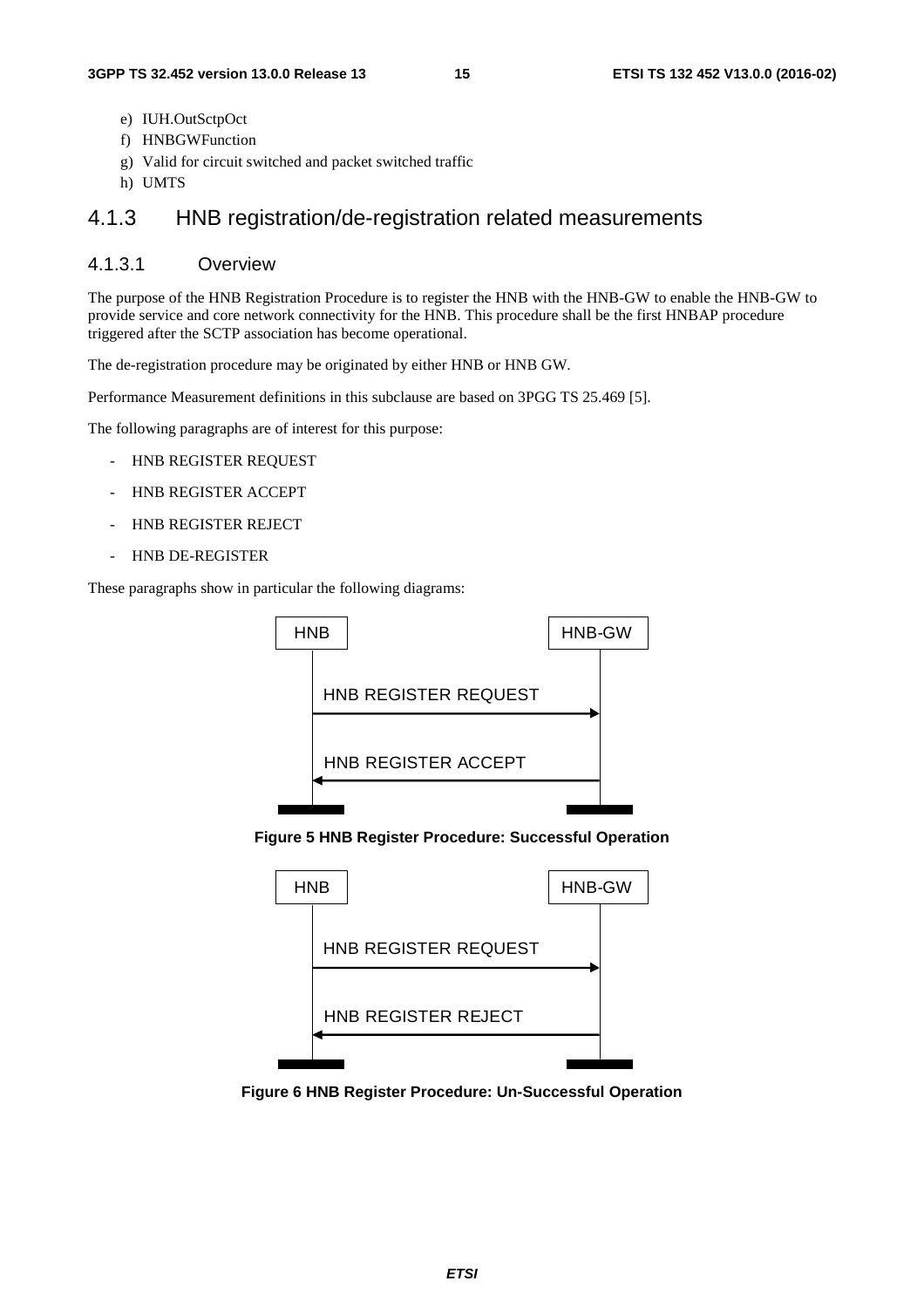- e) IUH.OutSctpOct
- f) HNBGWFunction
- g) Valid for circuit switched and packet switched traffic
- h) UMTS

# 4.1.3 HNB registration/de-registration related measurements

### 4.1.3.1 Overview

The purpose of the HNB Registration Procedure is to register the HNB with the HNB-GW to enable the HNB-GW to provide service and core network connectivity for the HNB. This procedure shall be the first HNBAP procedure triggered after the SCTP association has become operational.

The de-registration procedure may be originated by either HNB or HNB GW.

Performance Measurement definitions in this subclause are based on 3PGG TS 25.469 [5].

The following paragraphs are of interest for this purpose:

- HNB REGISTER REQUEST
- HNB REGISTER ACCEPT
- HNB REGISTER REJECT
- HNB DE-REGISTER

These paragraphs show in particular the following diagrams:



#### **Figure 5 HNB Register Procedure: Successful Operation**



**Figure 6 HNB Register Procedure: Un-Successful Operation**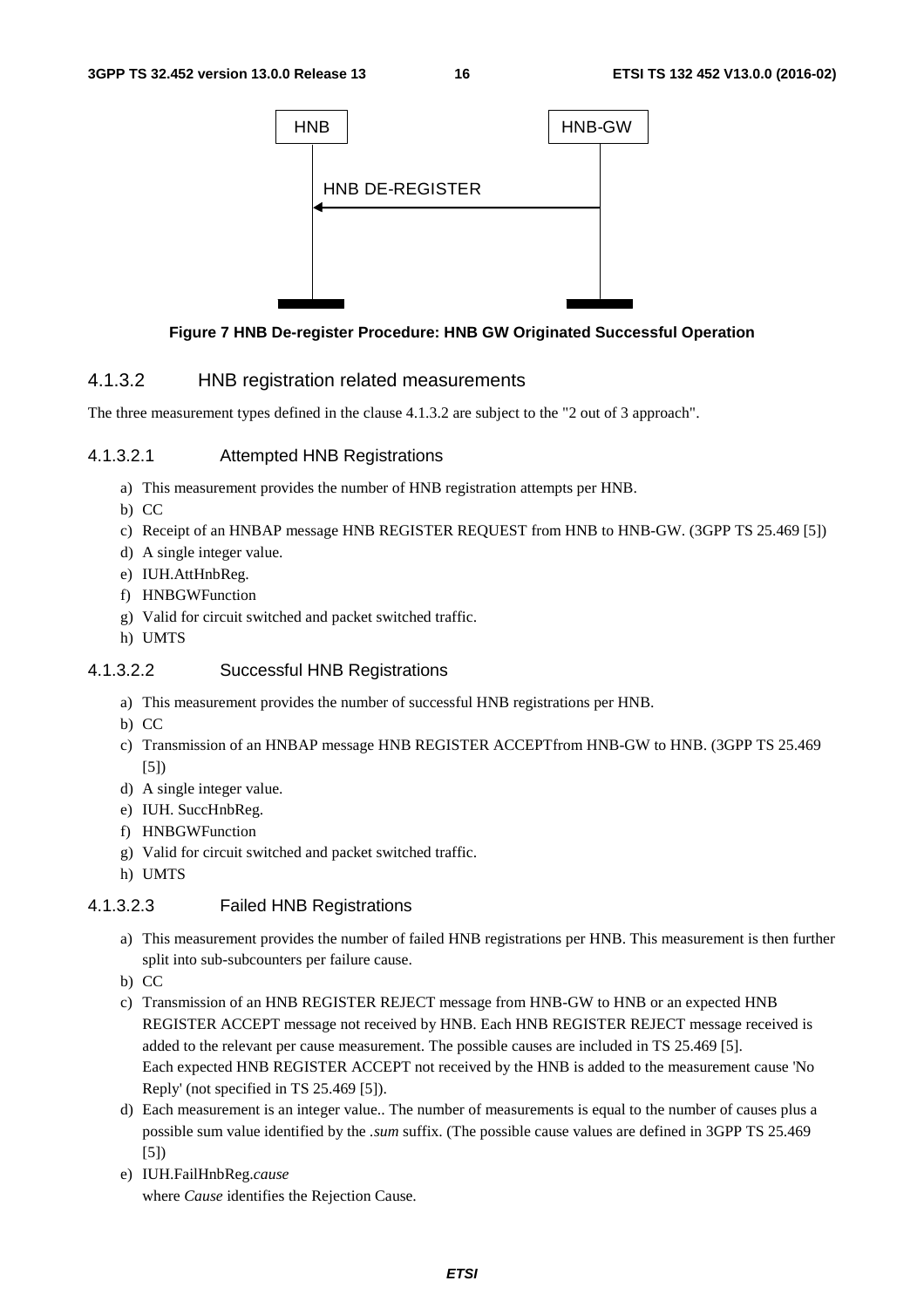

### **Figure 7 HNB De-register Procedure: HNB GW Originated Successful Operation**

### 4.1.3.2 HNB registration related measurements

The three measurement types defined in the clause 4.1.3.2 are subject to the "2 out of 3 approach".

### 4.1.3.2.1 Attempted HNB Registrations

- a) This measurement provides the number of HNB registration attempts per HNB.
- b) CC
- c) Receipt of an HNBAP message HNB REGISTER REQUEST from HNB to HNB-GW. (3GPP TS 25.469 [5])
- d) A single integer value.
- e) IUH.AttHnbReg.
- f) HNBGWFunction
- g) Valid for circuit switched and packet switched traffic.
- h) UMTS

#### 4.1.3.2.2 Successful HNB Registrations

- a) This measurement provides the number of successful HNB registrations per HNB.
- b) CC
- c) Transmission of an HNBAP message HNB REGISTER ACCEPTfrom HNB-GW to HNB. (3GPP TS 25.469 [5])
- d) A single integer value.
- e) IUH. SuccHnbReg.
- f) HNBGWFunction
- g) Valid for circuit switched and packet switched traffic.
- h) UMTS

#### 4.1.3.2.3 Failed HNB Registrations

- a) This measurement provides the number of failed HNB registrations per HNB. This measurement is then further split into sub-subcounters per failure cause.
- b) CC
- c) Transmission of an HNB REGISTER REJECT message from HNB-GW to HNB or an expected HNB REGISTER ACCEPT message not received by HNB. Each HNB REGISTER REJECT message received is added to the relevant per cause measurement. The possible causes are included in TS 25.469 [5]. Each expected HNB REGISTER ACCEPT not received by the HNB is added to the measurement cause 'No Reply' (not specified in TS 25.469 [5]).
- d) Each measurement is an integer value.. The number of measurements is equal to the number of causes plus a possible sum value identified by the *.sum* suffix. (The possible cause values are defined in 3GPP TS 25.469 [5])
- e) IUH.FailHnbReg.*cause*  where *Cause* identifies the Rejection Cause.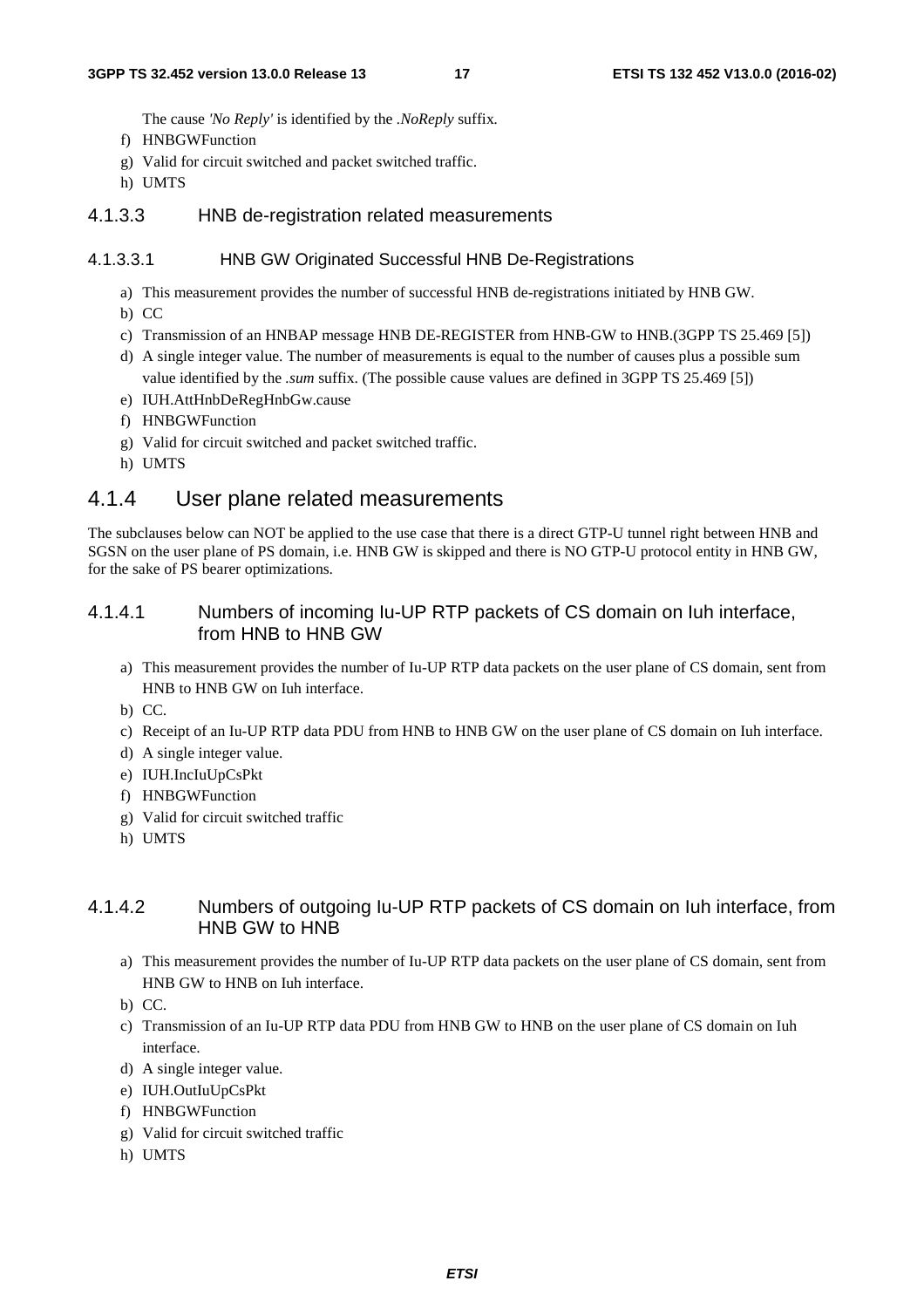The cause *'No Reply'* is identified by the *.NoReply* suffix*.*

- f) HNBGWFunction
- g) Valid for circuit switched and packet switched traffic.
- h) UMTS

# 4.1.3.3 HNB de-registration related measurements

#### 4.1.3.3.1 HNB GW Originated Successful HNB De-Registrations

- a) This measurement provides the number of successful HNB de-registrations initiated by HNB GW.
- b) CC
- c) Transmission of an HNBAP message HNB DE-REGISTER from HNB-GW to HNB.(3GPP TS 25.469 [5])
- d) A single integer value. The number of measurements is equal to the number of causes plus a possible sum value identified by the *.sum* suffix. (The possible cause values are defined in 3GPP TS 25.469 [5])
- e) IUH.AttHnbDeRegHnbGw.cause
- f) HNBGWFunction
- g) Valid for circuit switched and packet switched traffic.
- h) UMTS

# 4.1.4 User plane related measurements

The subclauses below can NOT be applied to the use case that there is a direct GTP-U tunnel right between HNB and SGSN on the user plane of PS domain, i.e. HNB GW is skipped and there is NO GTP-U protocol entity in HNB GW, for the sake of PS bearer optimizations.

## 4.1.4.1 Numbers of incoming Iu-UP RTP packets of CS domain on Iuh interface, from HNB to HNB GW

- a) This measurement provides the number of Iu-UP RTP data packets on the user plane of CS domain, sent from HNB to HNB GW on Iuh interface.
- b) CC.
- c) Receipt of an Iu-UP RTP data PDU from HNB to HNB GW on the user plane of CS domain on Iuh interface.
- d) A single integer value.
- e) IUH.IncIuUpCsPkt
- f) HNBGWFunction
- g) Valid for circuit switched traffic
- h) UMTS

# 4.1.4.2 Numbers of outgoing Iu-UP RTP packets of CS domain on Iuh interface, from HNB GW to HNB

- a) This measurement provides the number of Iu-UP RTP data packets on the user plane of CS domain, sent from HNB GW to HNB on Iuh interface.
- b) CC.
- c) Transmission of an Iu-UP RTP data PDU from HNB GW to HNB on the user plane of CS domain on Iuh interface.
- d) A single integer value.
- e) IUH.OutIuUpCsPkt
- f) HNBGWFunction
- g) Valid for circuit switched traffic
- h) UMTS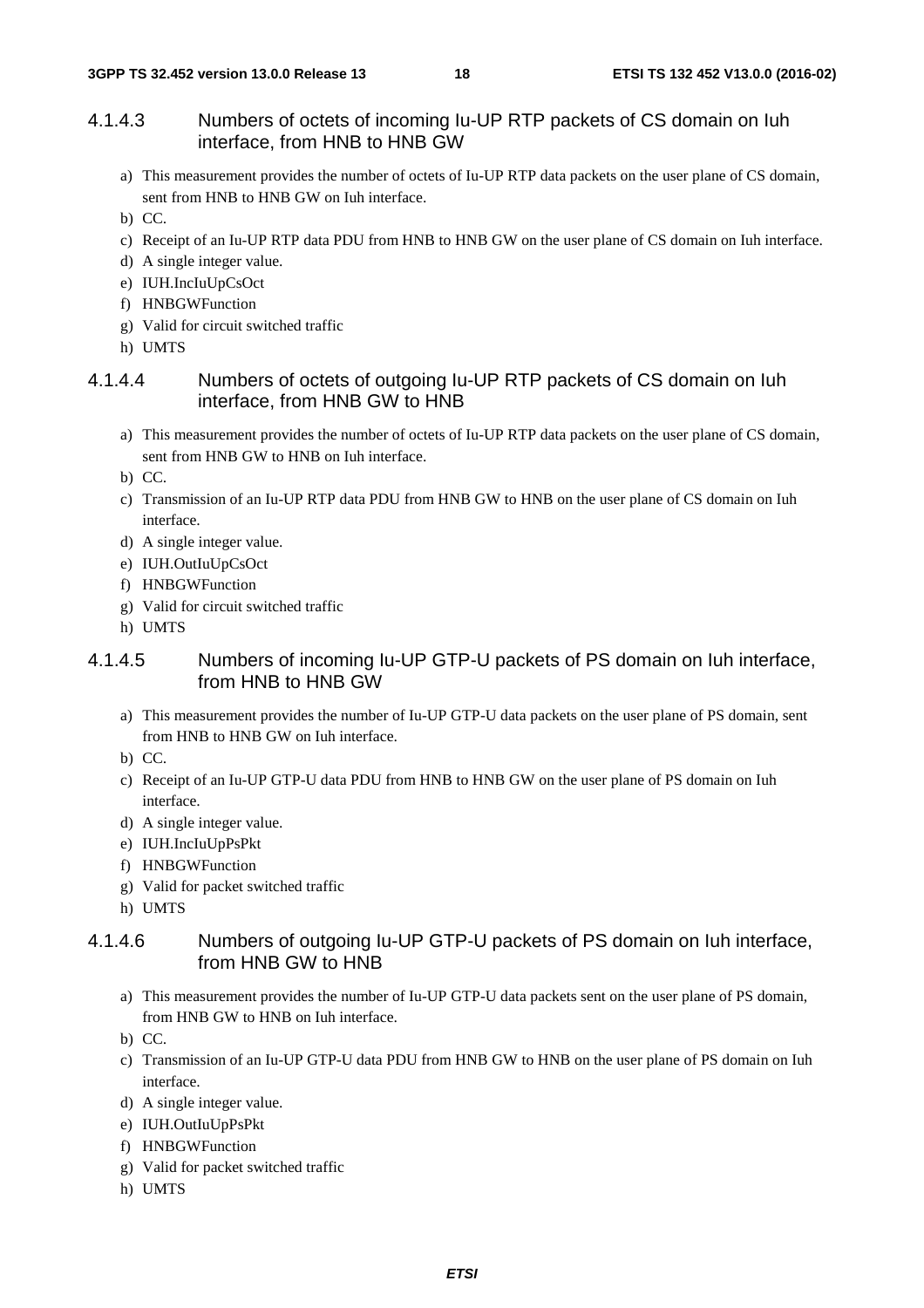# 4.1.4.3 Numbers of octets of incoming Iu-UP RTP packets of CS domain on Iuh interface, from HNB to HNB GW

- a) This measurement provides the number of octets of Iu-UP RTP data packets on the user plane of CS domain, sent from HNB to HNB GW on Iuh interface.
- b) CC.
- c) Receipt of an Iu-UP RTP data PDU from HNB to HNB GW on the user plane of CS domain on Iuh interface.
- d) A single integer value.
- e) IUH.IncIuUpCsOct
- f) HNBGWFunction
- g) Valid for circuit switched traffic
- h) UMTS

### 4.1.4.4 Numbers of octets of outgoing Iu-UP RTP packets of CS domain on Iuh interface, from HNB GW to HNB

- a) This measurement provides the number of octets of Iu-UP RTP data packets on the user plane of CS domain, sent from HNB GW to HNB on Iuh interface.
- b) CC.
- c) Transmission of an Iu-UP RTP data PDU from HNB GW to HNB on the user plane of CS domain on Iuh interface.
- d) A single integer value.
- e) IUH.OutIuUpCsOct
- f) HNBGWFunction
- g) Valid for circuit switched traffic
- h) UMTS

# 4.1.4.5 Numbers of incoming Iu-UP GTP-U packets of PS domain on Iuh interface, from HNB to HNB GW

- a) This measurement provides the number of Iu-UP GTP-U data packets on the user plane of PS domain, sent from HNB to HNB GW on Iuh interface.
- b) CC.
- c) Receipt of an Iu-UP GTP-U data PDU from HNB to HNB GW on the user plane of PS domain on Iuh interface.
- d) A single integer value.
- e) IUH.IncIuUpPsPkt
- f) HNBGWFunction
- g) Valid for packet switched traffic
- h) UMTS

# 4.1.4.6 Numbers of outgoing Iu-UP GTP-U packets of PS domain on Iuh interface, from HNB GW to HNB

- a) This measurement provides the number of Iu-UP GTP-U data packets sent on the user plane of PS domain, from HNB GW to HNB on Iuh interface.
- b) CC.
- c) Transmission of an Iu-UP GTP-U data PDU from HNB GW to HNB on the user plane of PS domain on Iuh interface.
- d) A single integer value.
- e) IUH.OutIuUpPsPkt
- f) HNBGWFunction
- g) Valid for packet switched traffic
- h) UMTS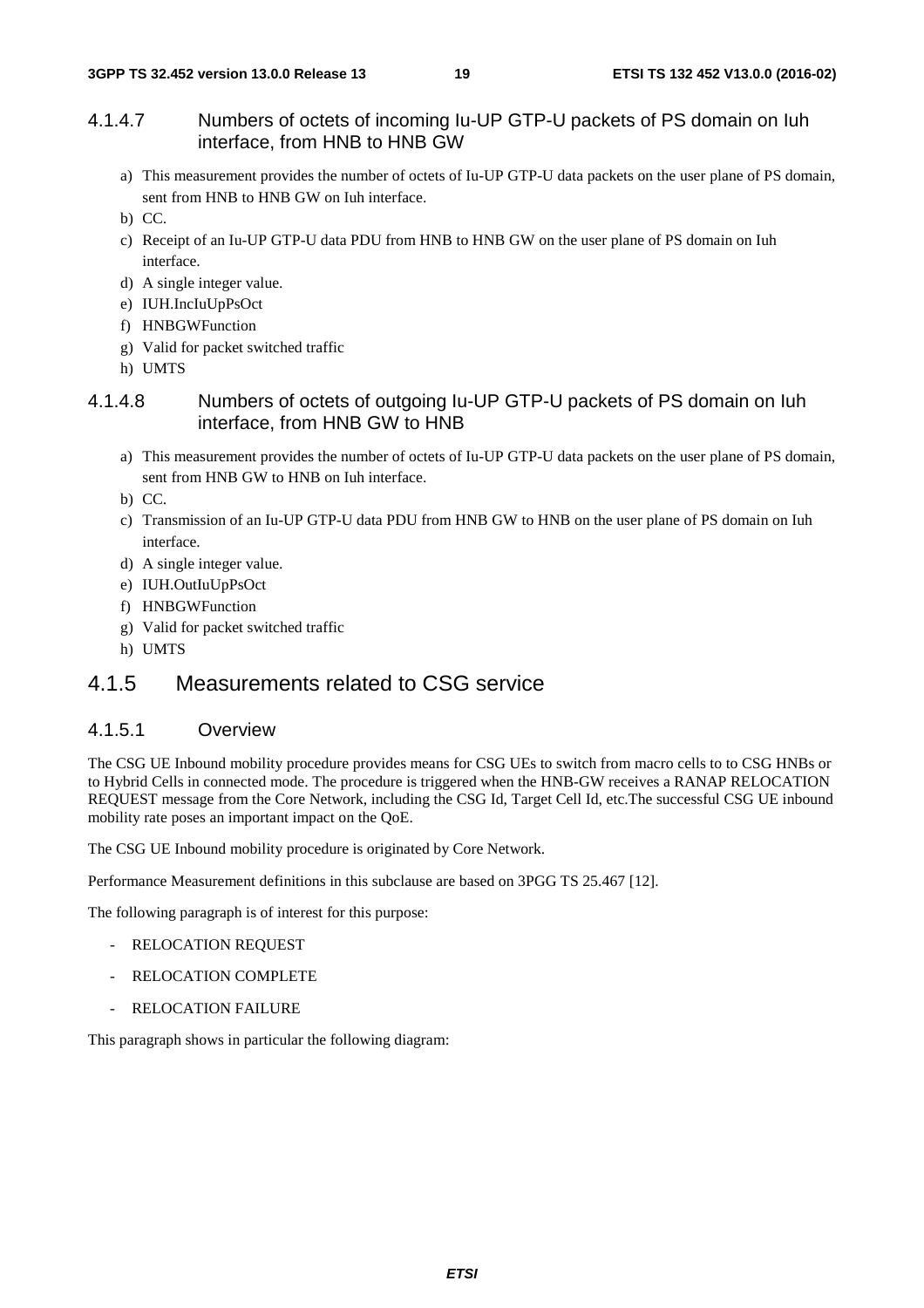# 4.1.4.7 Numbers of octets of incoming Iu-UP GTP-U packets of PS domain on Iuh interface, from HNB to HNB GW

- a) This measurement provides the number of octets of Iu-UP GTP-U data packets on the user plane of PS domain, sent from HNB to HNB GW on Iuh interface.
- b) CC.
- c) Receipt of an Iu-UP GTP-U data PDU from HNB to HNB GW on the user plane of PS domain on Iuh interface.
- d) A single integer value.
- e) IUH.IncIuUpPsOct
- f) HNBGWFunction
- g) Valid for packet switched traffic
- h) UMTS

# 4.1.4.8 Numbers of octets of outgoing Iu-UP GTP-U packets of PS domain on Iuh interface, from HNB GW to HNB

a) This measurement provides the number of octets of Iu-UP GTP-U data packets on the user plane of PS domain, sent from HNB GW to HNB on Iuh interface.

b) CC.

- c) Transmission of an Iu-UP GTP-U data PDU from HNB GW to HNB on the user plane of PS domain on Iuh interface.
- d) A single integer value.
- e) IUH.OutIuUpPsOct
- f) HNBGWFunction
- g) Valid for packet switched traffic
- h) UMTS

# 4.1.5 Measurements related to CSG service

# 4.1.5.1 Overview

The CSG UE Inbound mobility procedure provides means for CSG UEs to switch from macro cells to to CSG HNBs or to Hybrid Cells in connected mode. The procedure is triggered when the HNB-GW receives a RANAP RELOCATION REQUEST message from the Core Network, including the CSG Id, Target Cell Id, etc.The successful CSG UE inbound mobility rate poses an important impact on the QoE.

The CSG UE Inbound mobility procedure is originated by Core Network.

Performance Measurement definitions in this subclause are based on 3PGG TS 25.467 [12].

The following paragraph is of interest for this purpose:

- RELOCATION REQUEST
- RELOCATION COMPLETE
- RELOCATION FAILURE

This paragraph shows in particular the following diagram: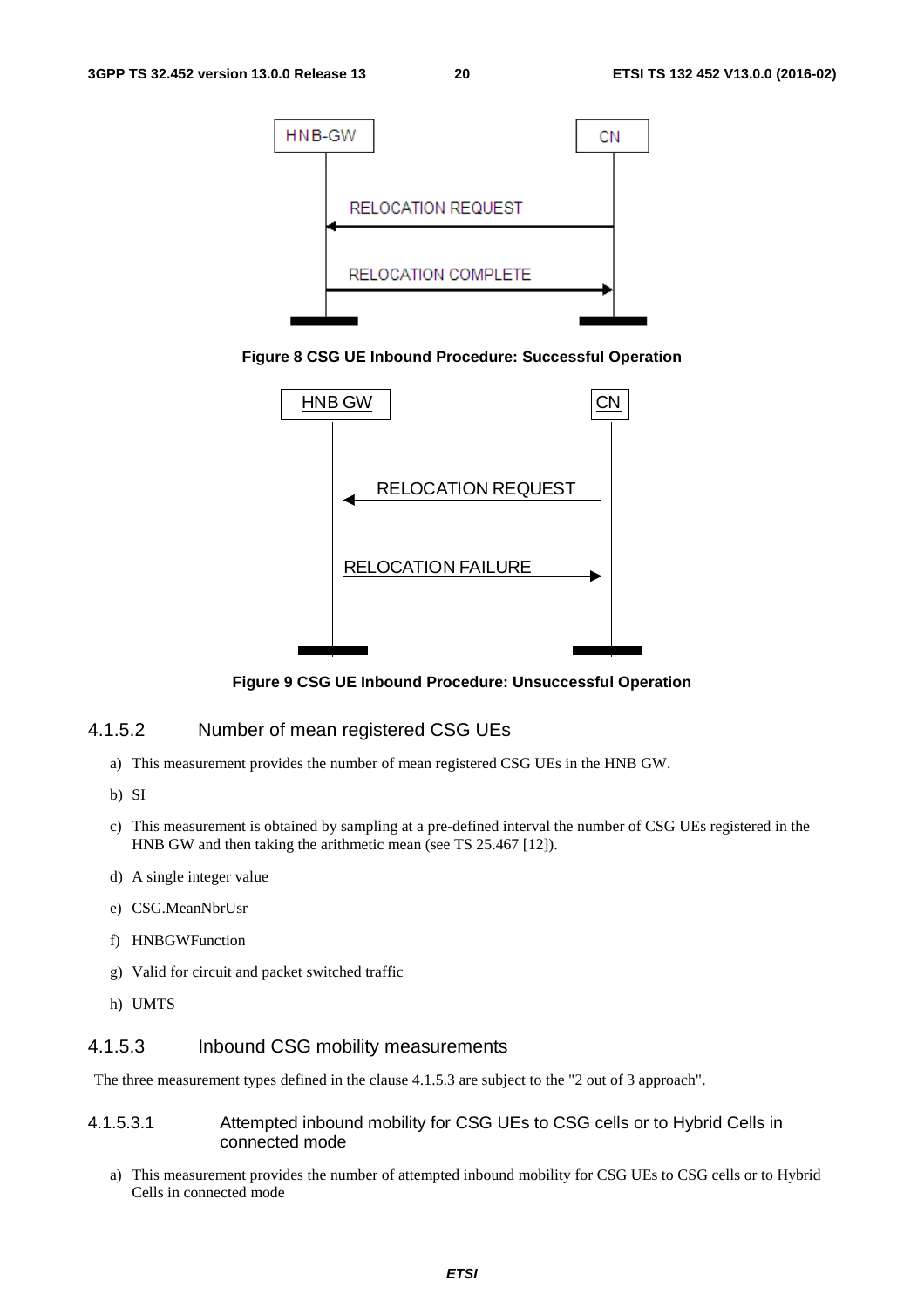

**Figure 8 CSG UE Inbound Procedure: Successful Operation** 



**Figure 9 CSG UE Inbound Procedure: Unsuccessful Operation** 

### 4.1.5.2 Number of mean registered CSG UEs

- a) This measurement provides the number of mean registered CSG UEs in the HNB GW.
- b) SI
- c) This measurement is obtained by sampling at a pre-defined interval the number of CSG UEs registered in the HNB GW and then taking the arithmetic mean (see TS 25.467 [12]).
- d) A single integer value
- e) CSG.MeanNbrUsr
- f) HNBGWFunction
- g) Valid for circuit and packet switched traffic
- h) UMTS

### 4.1.5.3 Inbound CSG mobility measurements

The three measurement types defined in the clause 4.1.5.3 are subject to the "2 out of 3 approach".

#### 4.1.5.3.1 Attempted inbound mobility for CSG UEs to CSG cells or to Hybrid Cells in connected mode

a) This measurement provides the number of attempted inbound mobility for CSG UEs to CSG cells or to Hybrid Cells in connected mode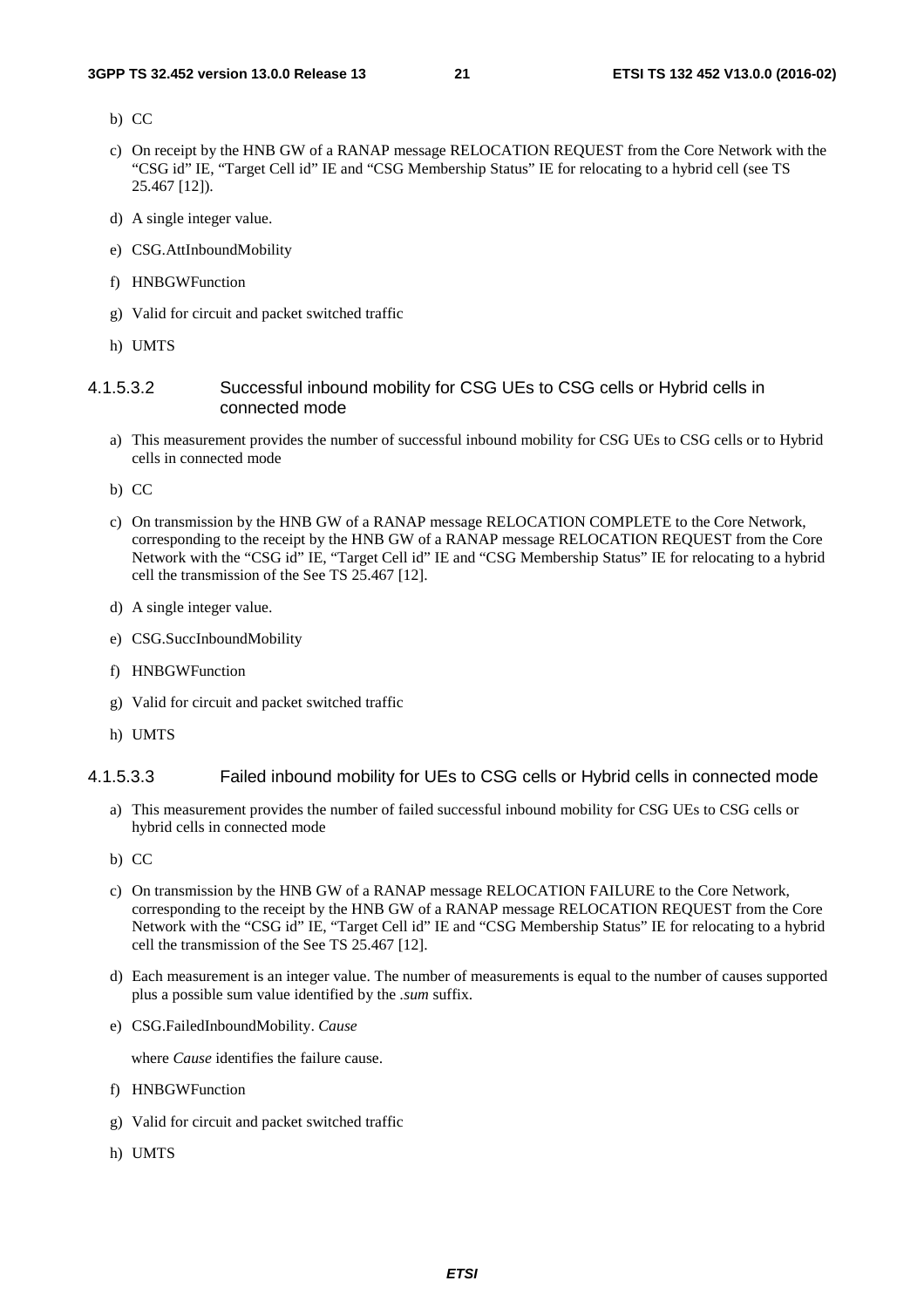- c) On receipt by the HNB GW of a RANAP message RELOCATION REQUEST from the Core Network with the "CSG id" IE, "Target Cell id" IE and "CSG Membership Status" IE for relocating to a hybrid cell (see TS 25.467 [12]).
- d) A single integer value.
- e) CSG.AttInboundMobility
- f) HNBGWFunction
- g) Valid for circuit and packet switched traffic
- h) UMTS

4.1.5.3.2 Successful inbound mobility for CSG UEs to CSG cells or Hybrid cells in connected mode

- a) This measurement provides the number of successful inbound mobility for CSG UEs to CSG cells or to Hybrid cells in connected mode
- b) CC
- c) On transmission by the HNB GW of a RANAP message RELOCATION COMPLETE to the Core Network, corresponding to the receipt by the HNB GW of a RANAP message RELOCATION REQUEST from the Core Network with the "CSG id" IE, "Target Cell id" IE and "CSG Membership Status" IE for relocating to a hybrid cell the transmission of the See TS 25.467 [12].
- d) A single integer value.
- e) CSG.SuccInboundMobility
- f) HNBGWFunction
- g) Valid for circuit and packet switched traffic
- h) UMTS
- 4.1.5.3.3 Failed inbound mobility for UEs to CSG cells or Hybrid cells in connected mode
	- a) This measurement provides the number of failed successful inbound mobility for CSG UEs to CSG cells or hybrid cells in connected mode
	- b) CC
	- c) On transmission by the HNB GW of a RANAP message RELOCATION FAILURE to the Core Network, corresponding to the receipt by the HNB GW of a RANAP message RELOCATION REQUEST from the Core Network with the "CSG id" IE, "Target Cell id" IE and "CSG Membership Status" IE for relocating to a hybrid cell the transmission of the See TS 25.467 [12].
	- d) Each measurement is an integer value. The number of measurements is equal to the number of causes supported plus a possible sum value identified by the *.sum* suffix.
	- e) CSG.FailedInboundMobility. *Cause*

where *Cause* identifies the failure cause.

- f) HNBGWFunction
- g) Valid for circuit and packet switched traffic
- h) UMTS

b) CC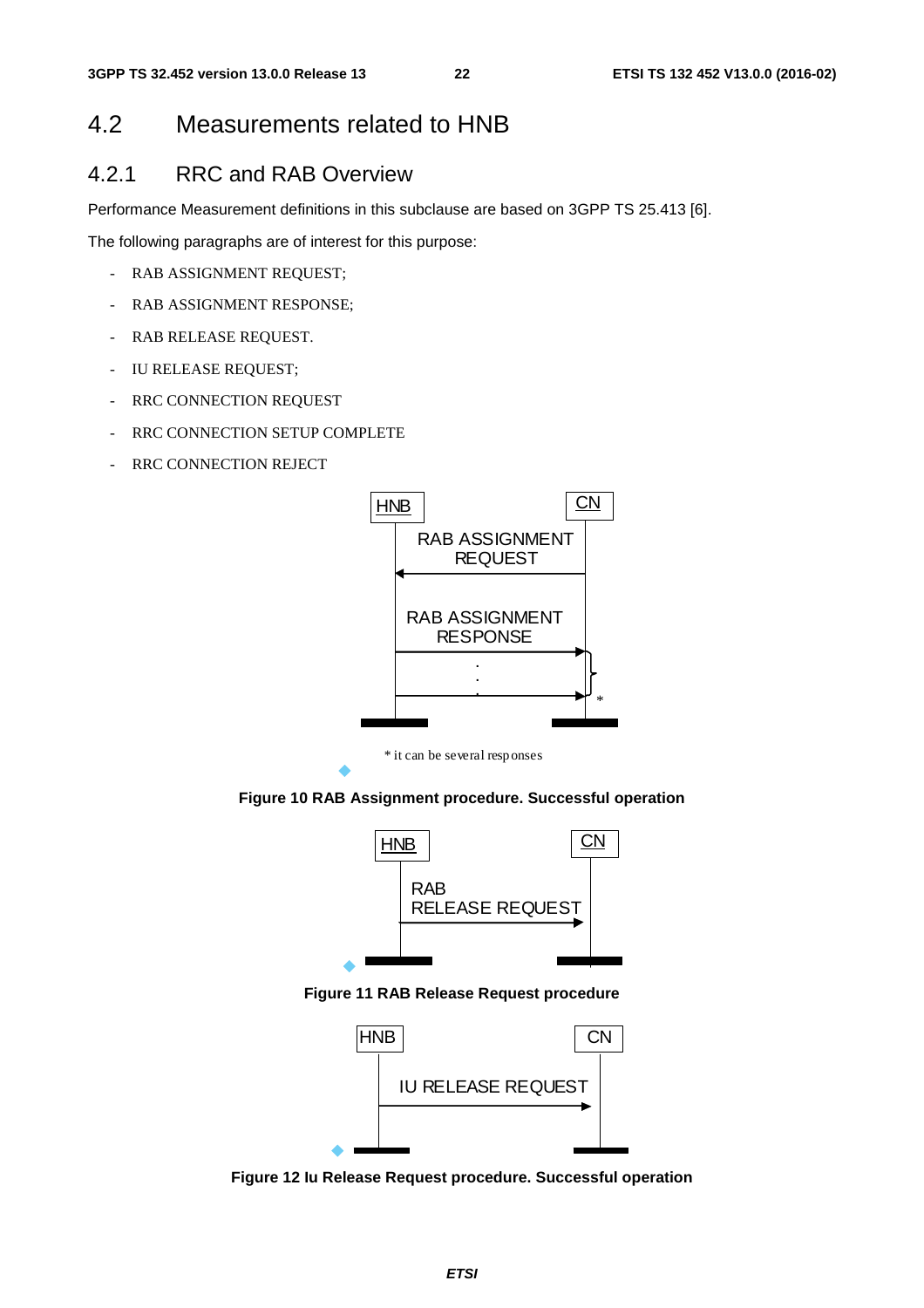# 4.2 Measurements related to HNB

# 4.2.1 RRC and RAB Overview

Performance Measurement definitions in this subclause are based on 3GPP TS 25.413 [6].

The following paragraphs are of interest for this purpose:

- RAB ASSIGNMENT REQUEST;
- RAB ASSIGNMENT RESPONSE;
- RAB RELEASE REQUEST.
- IU RELEASE REQUEST;
- RRC CONNECTION REQUEST
- RRC CONNECTION SETUP COMPLETE
- RRC CONNECTION REJECT



\* it can be several responses

◆

**Figure 10 RAB Assignment procedure. Successful operation** 



**Figure 11 RAB Release Request procedure** 



**Figure 12 Iu Release Request procedure. Successful operation**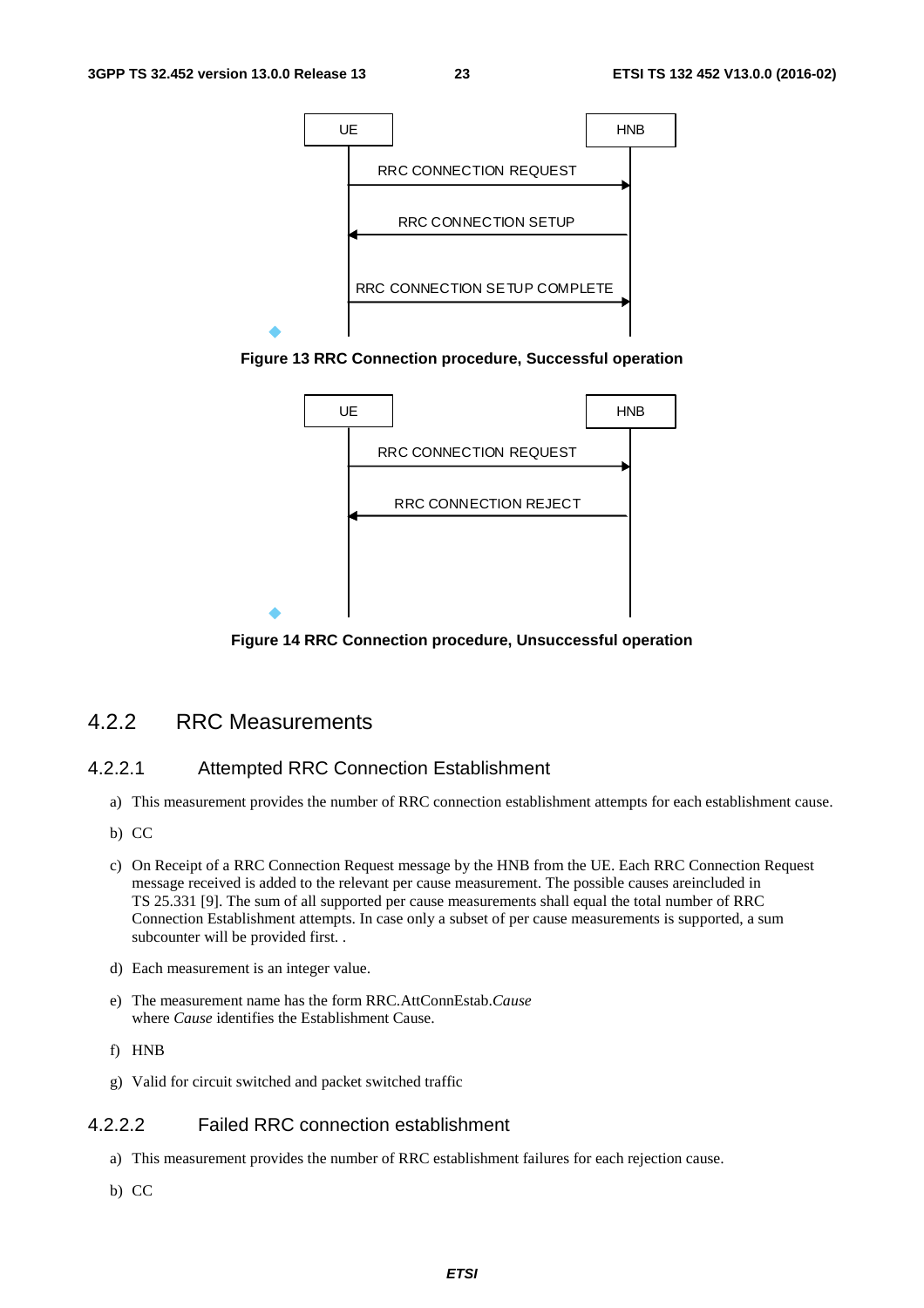

**Figure 13 RRC Connection procedure, Successful operation** 



**Figure 14 RRC Connection procedure, Unsuccessful operation** 

# 4.2.2 RRC Measurements

# 4.2.2.1 Attempted RRC Connection Establishment

- a) This measurement provides the number of RRC connection establishment attempts for each establishment cause.
- b) CC
- c) On Receipt of a RRC Connection Request message by the HNB from the UE. Each RRC Connection Request message received is added to the relevant per cause measurement. The possible causes areincluded in TS 25.331 [9]. The sum of all supported per cause measurements shall equal the total number of RRC Connection Establishment attempts. In case only a subset of per cause measurements is supported, a sum subcounter will be provided first. .
- d) Each measurement is an integer value.
- e) The measurement name has the form RRC.AttConnEstab.*Cause* where *Cause* identifies the Establishment Cause.
- f) HNB
- g) Valid for circuit switched and packet switched traffic

# 4.2.2.2 Failed RRC connection establishment

- a) This measurement provides the number of RRC establishment failures for each rejection cause.
- b) CC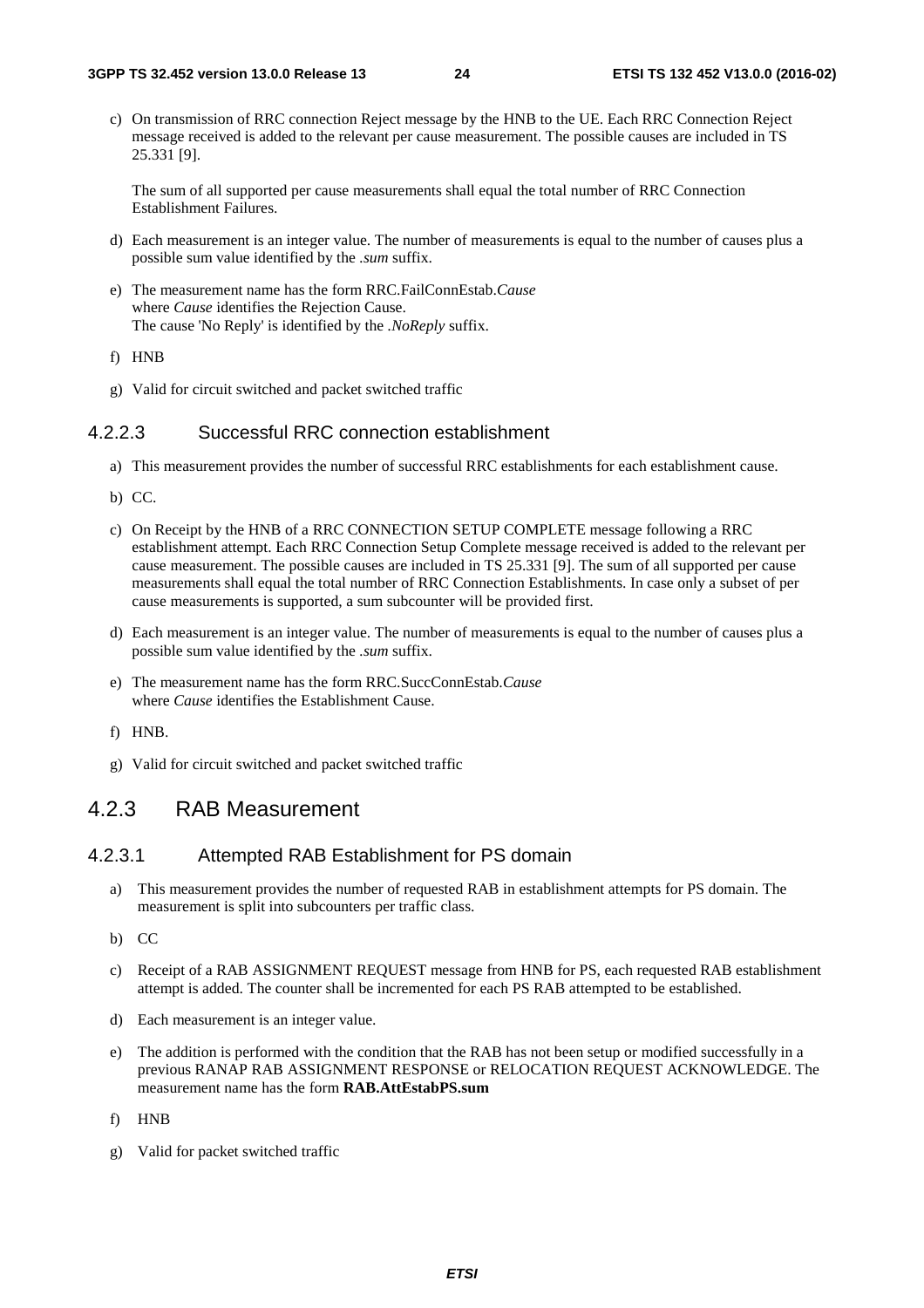c) On transmission of RRC connection Reject message by the HNB to the UE. Each RRC Connection Reject message received is added to the relevant per cause measurement. The possible causes are included in TS 25.331 [9].

The sum of all supported per cause measurements shall equal the total number of RRC Connection Establishment Failures.

- d) Each measurement is an integer value. The number of measurements is equal to the number of causes plus a possible sum value identified by the *.sum* suffix.
- e) The measurement name has the form RRC.FailConnEstab.*Cause* where *Cause* identifies the Rejection Cause. The cause 'No Reply' is identified by the *.NoReply* suffix.
- f) HNB
- g) Valid for circuit switched and packet switched traffic

### 4.2.2.3 Successful RRC connection establishment

- a) This measurement provides the number of successful RRC establishments for each establishment cause.
- b) CC.
- c) On Receipt by the HNB of a RRC CONNECTION SETUP COMPLETE message following a RRC establishment attempt. Each RRC Connection Setup Complete message received is added to the relevant per cause measurement. The possible causes are included in TS 25.331 [9]. The sum of all supported per cause measurements shall equal the total number of RRC Connection Establishments. In case only a subset of per cause measurements is supported, a sum subcounter will be provided first.
- d) Each measurement is an integer value. The number of measurements is equal to the number of causes plus a possible sum value identified by the *.sum* suffix.
- e) The measurement name has the form RRC.SuccConnEstab.*Cause* where *Cause* identifies the Establishment Cause.
- f) HNB.
- g) Valid for circuit switched and packet switched traffic

# 4.2.3 RAB Measurement

### 4.2.3.1 Attempted RAB Establishment for PS domain

- a) This measurement provides the number of requested RAB in establishment attempts for PS domain. The measurement is split into subcounters per traffic class.
- b) CC
- c) Receipt of a RAB ASSIGNMENT REQUEST message from HNB for PS, each requested RAB establishment attempt is added. The counter shall be incremented for each PS RAB attempted to be established.
- d) Each measurement is an integer value.
- e) The addition is performed with the condition that the RAB has not been setup or modified successfully in a previous RANAP RAB ASSIGNMENT RESPONSE or RELOCATION REQUEST ACKNOWLEDGE. The measurement name has the form **RAB.AttEstabPS.sum**
- f) HNB
- g) Valid for packet switched traffic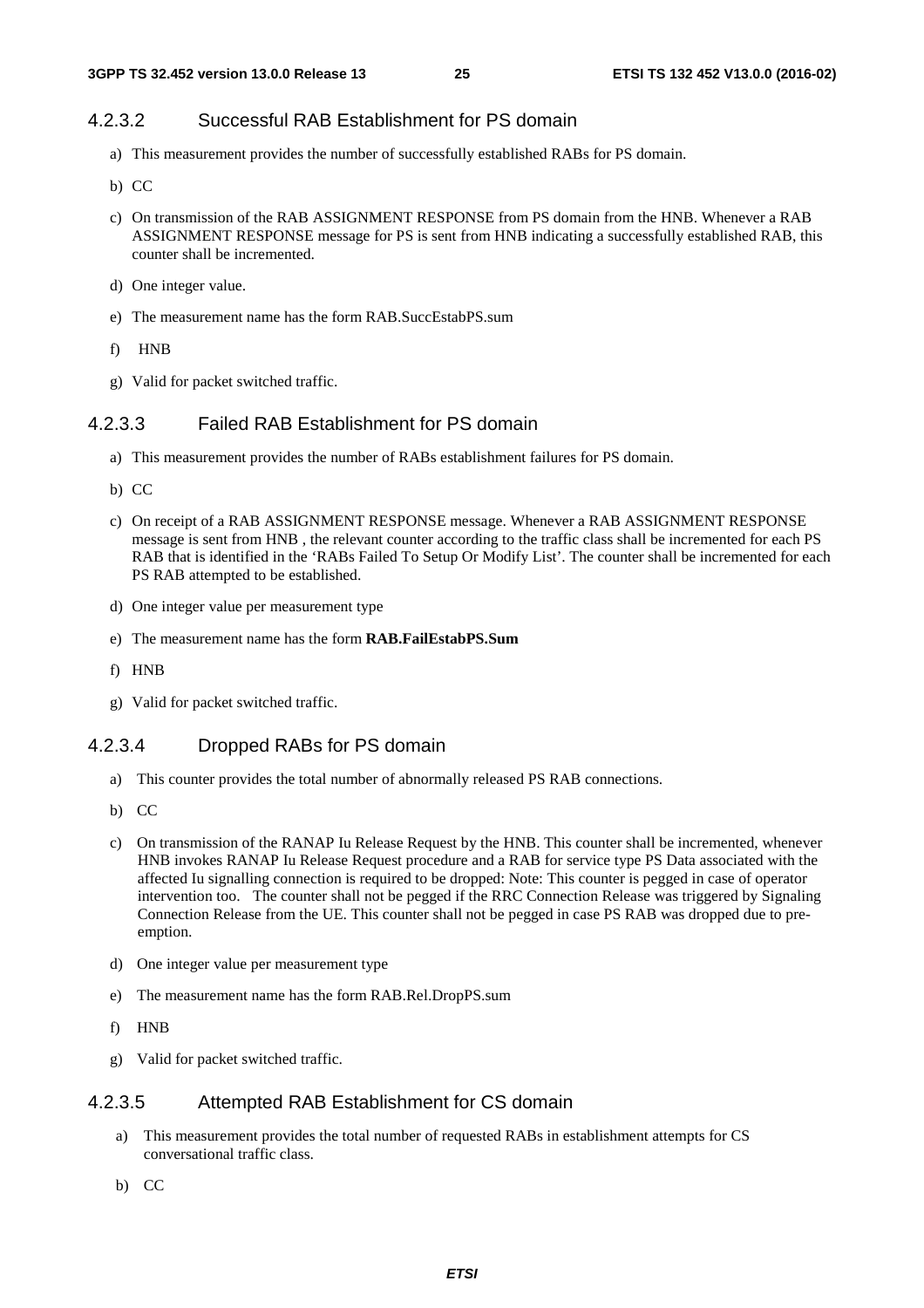### 4.2.3.2 Successful RAB Establishment for PS domain

- a) This measurement provides the number of successfully established RABs for PS domain.
- b) CC
- c) On transmission of the RAB ASSIGNMENT RESPONSE from PS domain from the HNB. Whenever a RAB ASSIGNMENT RESPONSE message for PS is sent from HNB indicating a successfully established RAB, this counter shall be incremented.
- d) One integer value.
- e) The measurement name has the form RAB.SuccEstabPS.sum
- f) HNB
- g) Valid for packet switched traffic.

### 4.2.3.3 Failed RAB Establishment for PS domain

- a) This measurement provides the number of RABs establishment failures for PS domain.
- b) CC
- c) On receipt of a RAB ASSIGNMENT RESPONSE message. Whenever a RAB ASSIGNMENT RESPONSE message is sent from HNB , the relevant counter according to the traffic class shall be incremented for each PS RAB that is identified in the 'RABs Failed To Setup Or Modify List'. The counter shall be incremented for each PS RAB attempted to be established.
- d) One integer value per measurement type
- e) The measurement name has the form **RAB.FailEstabPS.Sum**
- f) HNB
- g) Valid for packet switched traffic.

# 4.2.3.4 Dropped RABs for PS domain

- a) This counter provides the total number of abnormally released PS RAB connections.
- b) CC
- c) On transmission of the RANAP Iu Release Request by the HNB. This counter shall be incremented, whenever HNB invokes RANAP Iu Release Request procedure and a RAB for service type PS Data associated with the affected Iu signalling connection is required to be dropped: Note: This counter is pegged in case of operator intervention too. The counter shall not be pegged if the RRC Connection Release was triggered by Signaling Connection Release from the UE. This counter shall not be pegged in case PS RAB was dropped due to preemption.
- d) One integer value per measurement type
- e) The measurement name has the form RAB.Rel.DropPS.sum
- f) HNB
- g) Valid for packet switched traffic.

#### 4.2.3.5 Attempted RAB Establishment for CS domain

- a) This measurement provides the total number of requested RABs in establishment attempts for CS conversational traffic class.
- b) CC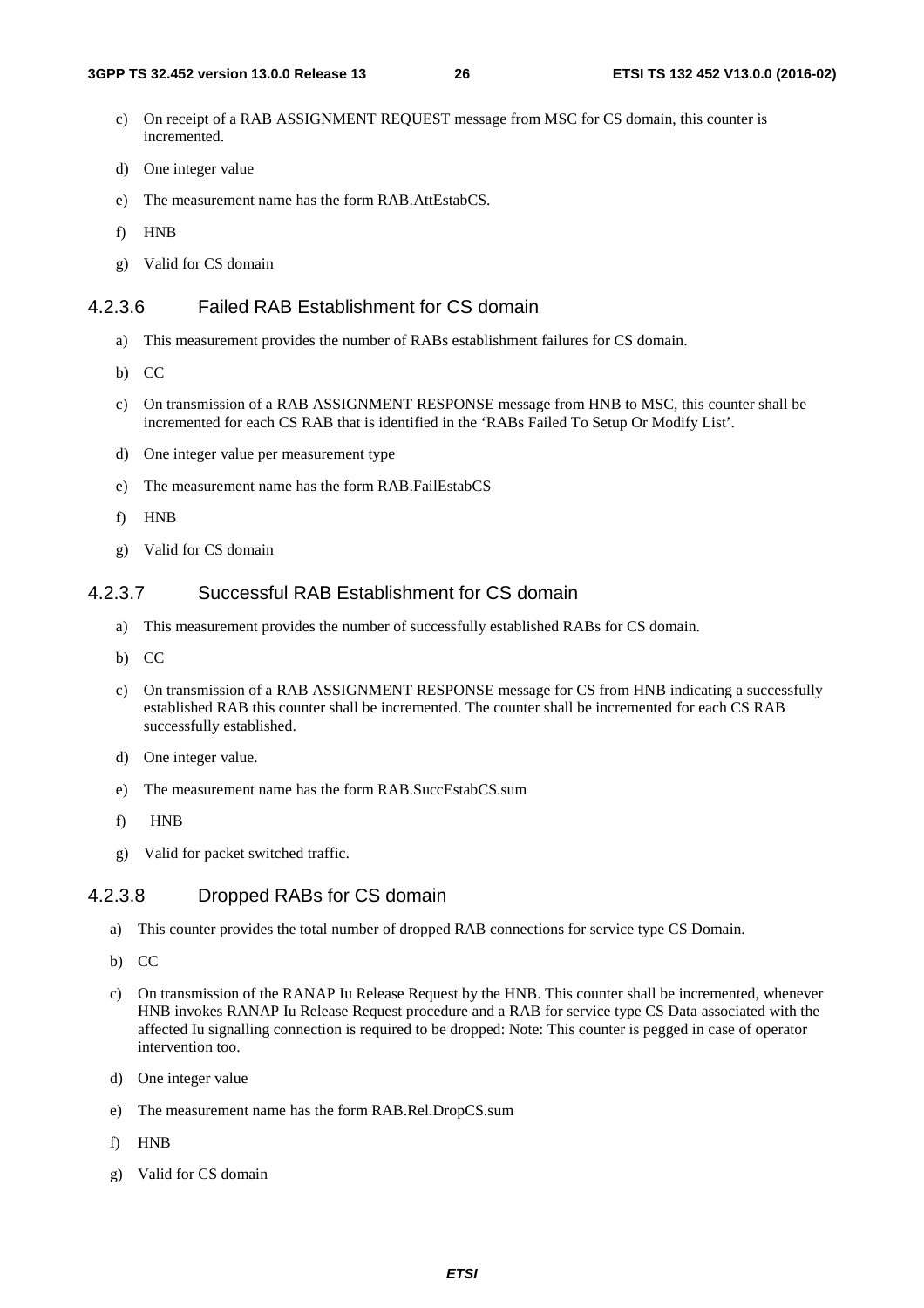- c) On receipt of a RAB ASSIGNMENT REQUEST message from MSC for CS domain, this counter is incremented.
- d) One integer value
- e) The measurement name has the form RAB.AttEstabCS.
- f) HNB
- g) Valid for CS domain

### 4.2.3.6 Failed RAB Establishment for CS domain

- a) This measurement provides the number of RABs establishment failures for CS domain.
- b) CC
- c) On transmission of a RAB ASSIGNMENT RESPONSE message from HNB to MSC, this counter shall be incremented for each CS RAB that is identified in the 'RABs Failed To Setup Or Modify List'.
- d) One integer value per measurement type
- e) The measurement name has the form RAB.FailEstabCS
- f) HNB
- g) Valid for CS domain

### 4.2.3.7 Successful RAB Establishment for CS domain

- a) This measurement provides the number of successfully established RABs for CS domain.
- b) CC
- c) On transmission of a RAB ASSIGNMENT RESPONSE message for CS from HNB indicating a successfully established RAB this counter shall be incremented. The counter shall be incremented for each CS RAB successfully established.
- d) One integer value.
- e) The measurement name has the form RAB.SuccEstabCS.sum
- f) HNB
- g) Valid for packet switched traffic.

## 4.2.3.8 Dropped RABs for CS domain

- a) This counter provides the total number of dropped RAB connections for service type CS Domain.
- b) CC
- c) On transmission of the RANAP Iu Release Request by the HNB. This counter shall be incremented, whenever HNB invokes RANAP Iu Release Request procedure and a RAB for service type CS Data associated with the affected Iu signalling connection is required to be dropped: Note: This counter is pegged in case of operator intervention too.
- d) One integer value
- e) The measurement name has the form RAB.Rel.DropCS.sum
- f) HNB
- g) Valid for CS domain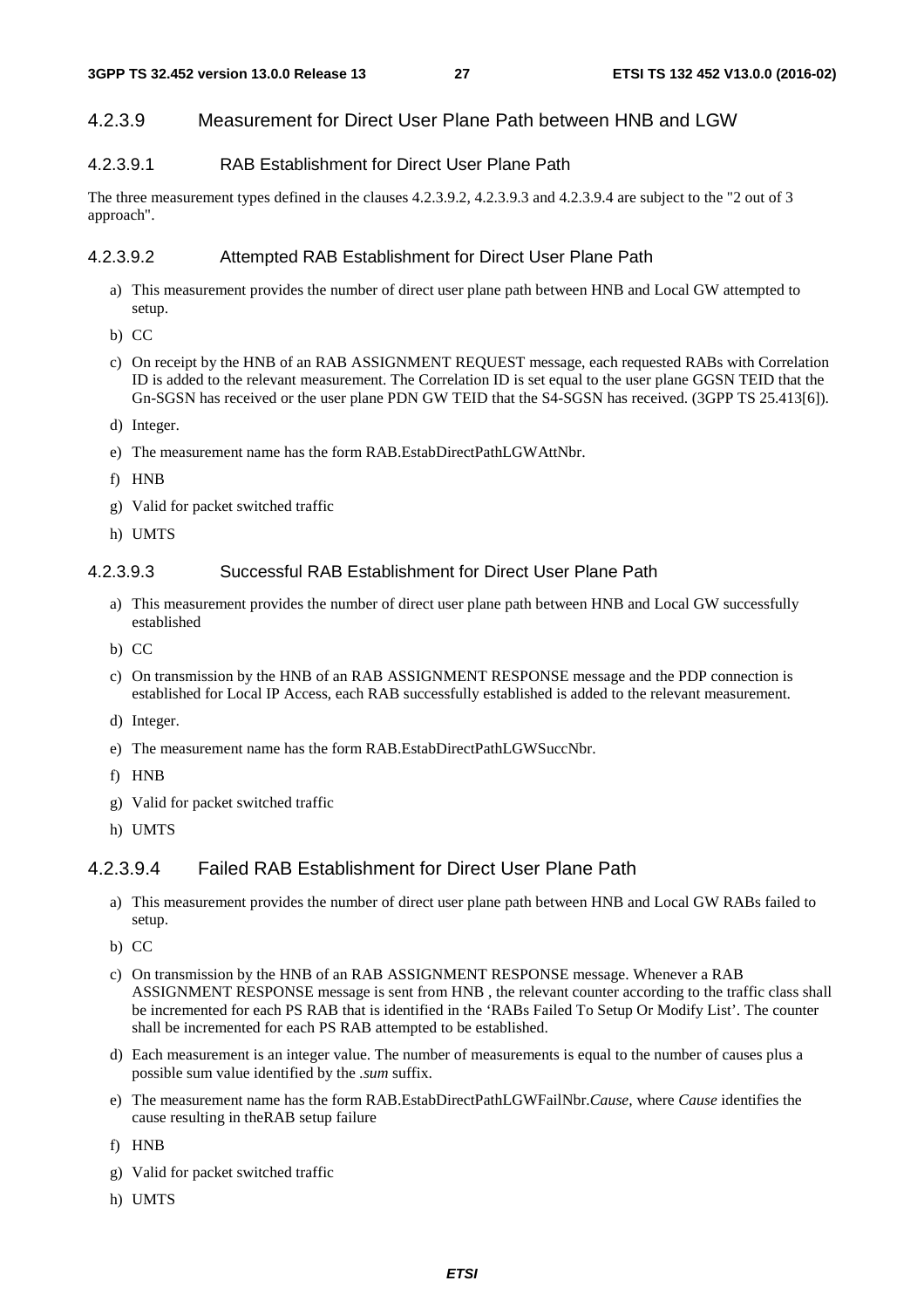# 4.2.3.9 Measurement for Direct User Plane Path between HNB and LGW

# 4.2.3.9.1 RAB Establishment for Direct User Plane Path

The three measurement types defined in the clauses 4.2.3.9.2, 4.2.3.9.3 and 4.2.3.9.4 are subject to the "2 out of 3 approach".

#### 4.2.3.9.2 Attempted RAB Establishment for Direct User Plane Path

- a) This measurement provides the number of direct user plane path between HNB and Local GW attempted to setup.
- b) CC
- c) On receipt by the HNB of an RAB ASSIGNMENT REQUEST message, each requested RABs with Correlation ID is added to the relevant measurement. The Correlation ID is set equal to the user plane GGSN TEID that the Gn-SGSN has received or the user plane PDN GW TEID that the S4-SGSN has received. (3GPP TS 25.413[6]).
- d) Integer.
- e) The measurement name has the form RAB.EstabDirectPathLGWAttNbr.
- f) HNB
- g) Valid for packet switched traffic
- h) UMTS

#### 4.2.3.9.3 Successful RAB Establishment for Direct User Plane Path

- a) This measurement provides the number of direct user plane path between HNB and Local GW successfully established
- b) CC
- c) On transmission by the HNB of an RAB ASSIGNMENT RESPONSE message and the PDP connection is established for Local IP Access, each RAB successfully established is added to the relevant measurement.
- d) Integer.
- e) The measurement name has the form RAB.EstabDirectPathLGWSuccNbr.
- f) HNB
- g) Valid for packet switched traffic
- h) UMTS

### 4.2.3.9.4 Failed RAB Establishment for Direct User Plane Path

- a) This measurement provides the number of direct user plane path between HNB and Local GW RABs failed to setup.
- b) CC
- c) On transmission by the HNB of an RAB ASSIGNMENT RESPONSE message. Whenever a RAB ASSIGNMENT RESPONSE message is sent from HNB , the relevant counter according to the traffic class shall be incremented for each PS RAB that is identified in the 'RABs Failed To Setup Or Modify List'. The counter shall be incremented for each PS RAB attempted to be established.
- d) Each measurement is an integer value. The number of measurements is equal to the number of causes plus a possible sum value identified by the *.sum* suffix.
- e) The measurement name has the form RAB.EstabDirectPathLGWFailNbr.*Cause,* where *Cause* identifies the cause resulting in theRAB setup failure
- f) HNB
- g) Valid for packet switched traffic
- h) UMTS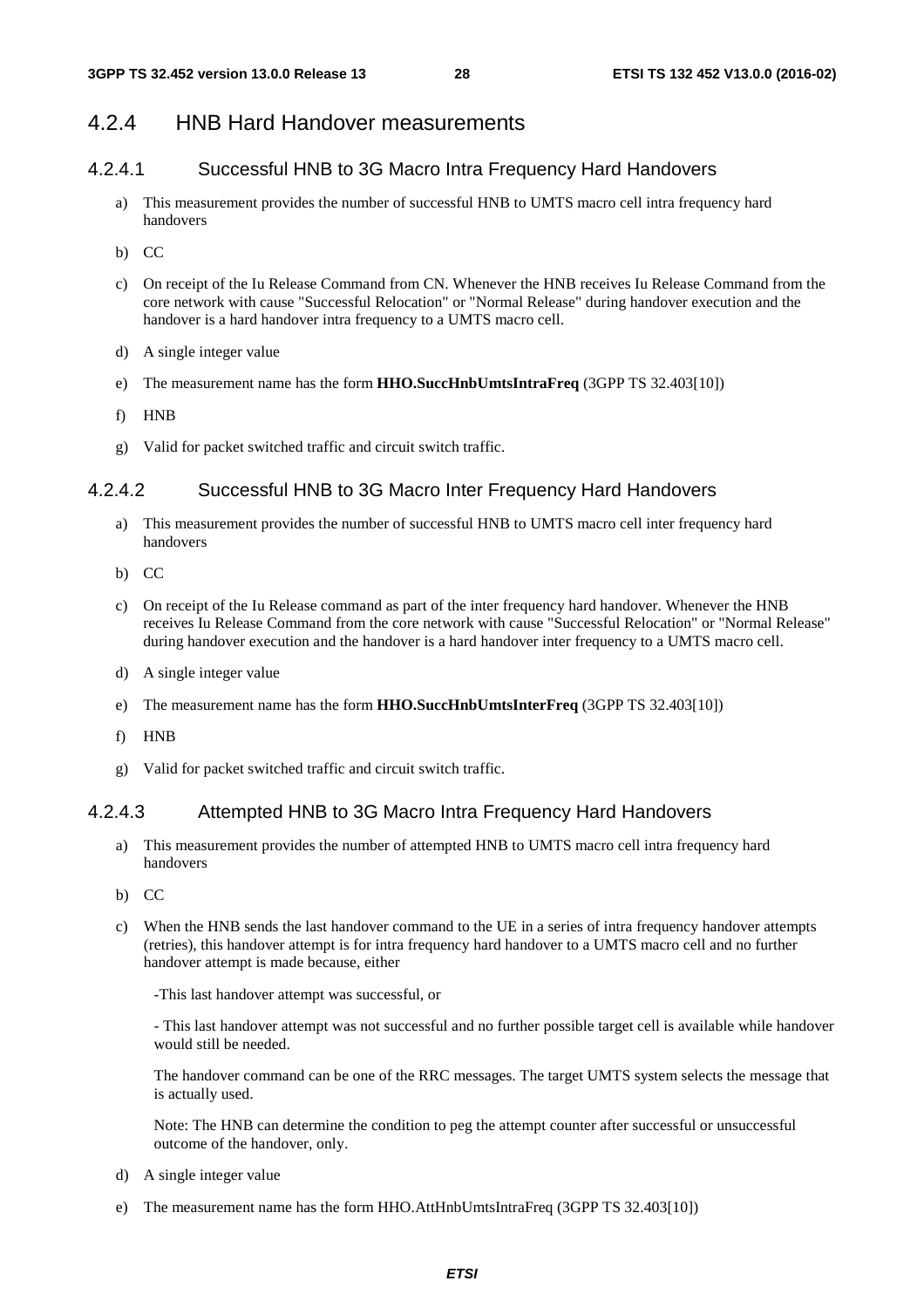# 4.2.4 HNB Hard Handover measurements

# 4.2.4.1 Successful HNB to 3G Macro Intra Frequency Hard Handovers

- a) This measurement provides the number of successful HNB to UMTS macro cell intra frequency hard handovers
- b) CC
- c) On receipt of the Iu Release Command from CN. Whenever the HNB receives Iu Release Command from the core network with cause "Successful Relocation" or "Normal Release" during handover execution and the handover is a hard handover intra frequency to a UMTS macro cell.
- d) A single integer value
- e) The measurement name has the form **HHO.SuccHnbUmtsIntraFreq** (3GPP TS 32.403[10])
- f) HNB
- g) Valid for packet switched traffic and circuit switch traffic.

### 4.2.4.2 Successful HNB to 3G Macro Inter Frequency Hard Handovers

- a) This measurement provides the number of successful HNB to UMTS macro cell inter frequency hard handovers
- b)  $CC$
- c) On receipt of the Iu Release command as part of the inter frequency hard handover. Whenever the HNB receives Iu Release Command from the core network with cause "Successful Relocation" or "Normal Release" during handover execution and the handover is a hard handover inter frequency to a UMTS macro cell.
- d) A single integer value
- e) The measurement name has the form **HHO.SuccHnbUmtsInterFreq** (3GPP TS 32.403[10])
- f) HNB
- g) Valid for packet switched traffic and circuit switch traffic.

## 4.2.4.3 Attempted HNB to 3G Macro Intra Frequency Hard Handovers

- a) This measurement provides the number of attempted HNB to UMTS macro cell intra frequency hard handovers
- b) CC
- c) When the HNB sends the last handover command to the UE in a series of intra frequency handover attempts (retries), this handover attempt is for intra frequency hard handover to a UMTS macro cell and no further handover attempt is made because, either

-This last handover attempt was successful, or

- This last handover attempt was not successful and no further possible target cell is available while handover would still be needed.

The handover command can be one of the RRC messages. The target UMTS system selects the message that is actually used.

Note: The HNB can determine the condition to peg the attempt counter after successful or unsuccessful outcome of the handover, only.

- d) A single integer value
- e) The measurement name has the form HHO.AttHnbUmtsIntraFreq (3GPP TS 32.403[10])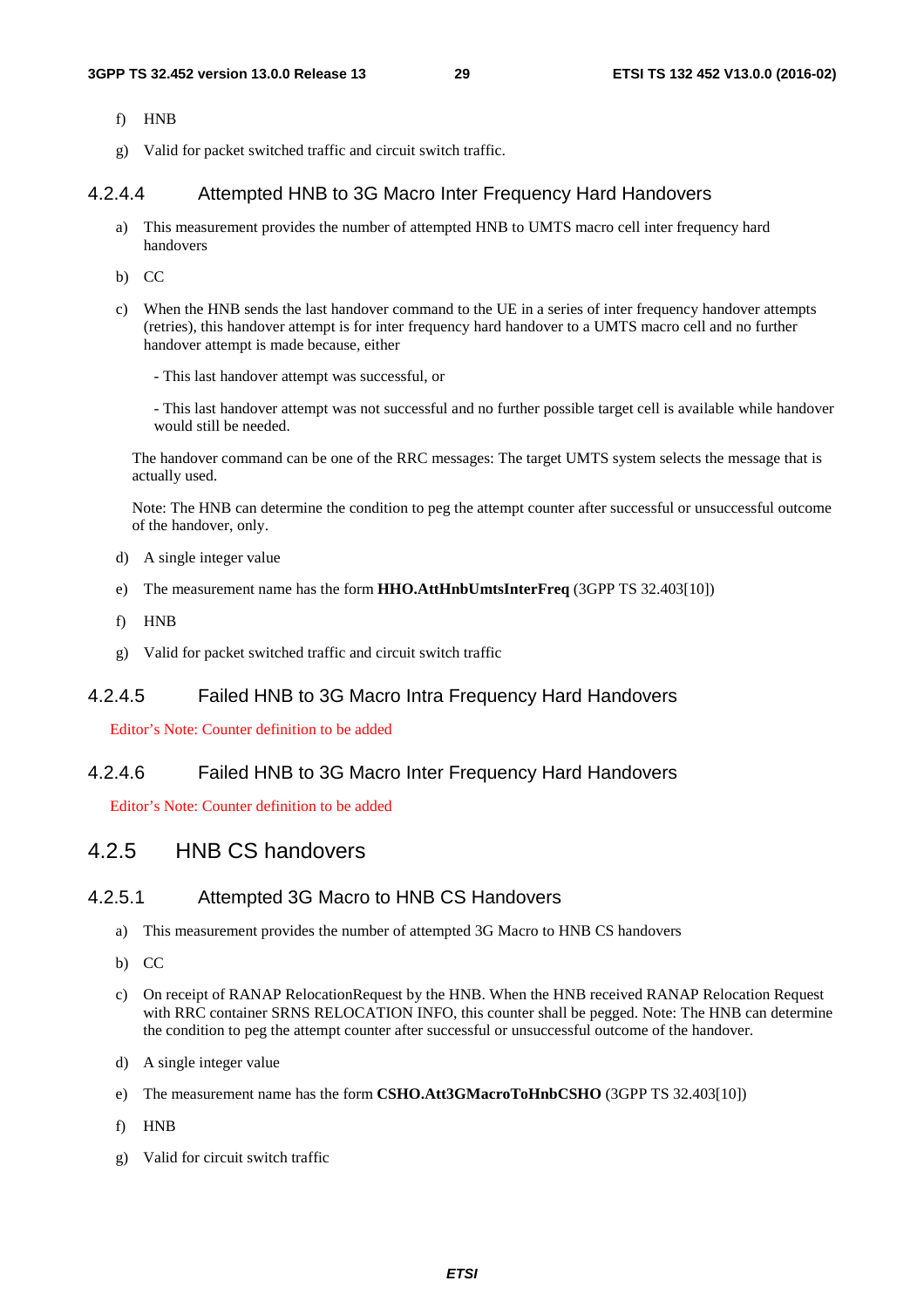- f) HNB
- g) Valid for packet switched traffic and circuit switch traffic.

#### 4.2.4.4 Attempted HNB to 3G Macro Inter Frequency Hard Handovers

- a) This measurement provides the number of attempted HNB to UMTS macro cell inter frequency hard handovers
- b) CC
- c) When the HNB sends the last handover command to the UE in a series of inter frequency handover attempts (retries), this handover attempt is for inter frequency hard handover to a UMTS macro cell and no further handover attempt is made because, either
	- This last handover attempt was successful, or

- This last handover attempt was not successful and no further possible target cell is available while handover would still be needed.

The handover command can be one of the RRC messages: The target UMTS system selects the message that is actually used.

Note: The HNB can determine the condition to peg the attempt counter after successful or unsuccessful outcome of the handover, only.

- d) A single integer value
- e) The measurement name has the form **HHO.AttHnbUmtsInterFreq** (3GPP TS 32.403[10])
- f) HNB
- g) Valid for packet switched traffic and circuit switch traffic

### 4.2.4.5 Failed HNB to 3G Macro Intra Frequency Hard Handovers

Editor's Note: Counter definition to be added

### 4.2.4.6 Failed HNB to 3G Macro Inter Frequency Hard Handovers

Editor's Note: Counter definition to be added

# 4.2.5 HNB CS handovers

## 4.2.5.1 Attempted 3G Macro to HNB CS Handovers

- a) This measurement provides the number of attempted 3G Macro to HNB CS handovers
- b) CC
- c) On receipt of RANAP RelocationRequest by the HNB. When the HNB received RANAP Relocation Request with RRC container SRNS RELOCATION INFO, this counter shall be pegged. Note: The HNB can determine the condition to peg the attempt counter after successful or unsuccessful outcome of the handover.
- d) A single integer value
- e) The measurement name has the form **CSHO.Att3GMacroToHnbCSHO** (3GPP TS 32.403[10])
- f) HNB
- g) Valid for circuit switch traffic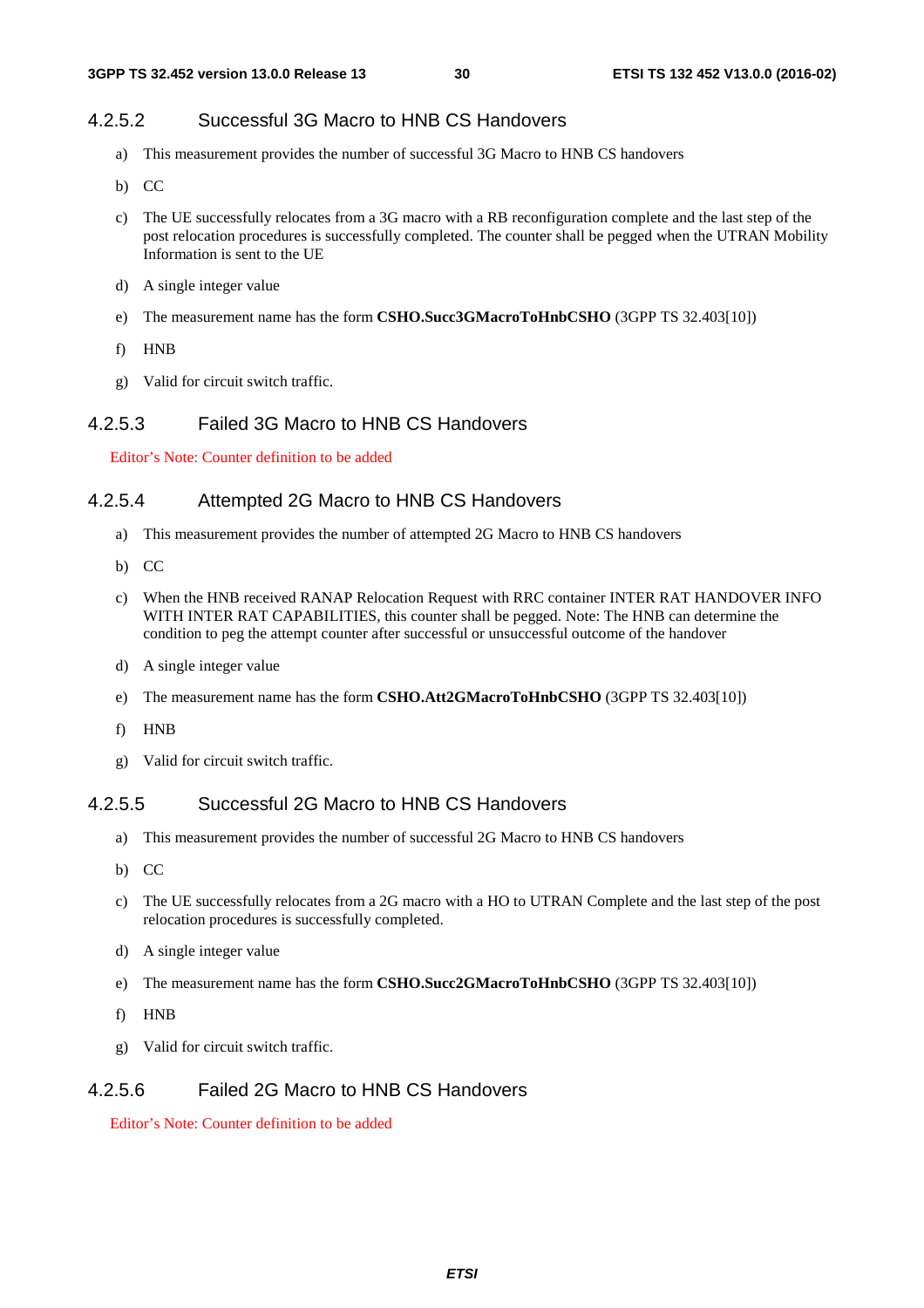## 4.2.5.2 Successful 3G Macro to HNB CS Handovers

- a) This measurement provides the number of successful 3G Macro to HNB CS handovers
- b) CC
- c) The UE successfully relocates from a 3G macro with a RB reconfiguration complete and the last step of the post relocation procedures is successfully completed. The counter shall be pegged when the UTRAN Mobility Information is sent to the UE
- d) A single integer value
- e) The measurement name has the form **CSHO.Succ3GMacroToHnbCSHO** (3GPP TS 32.403[10])
- f) HNB
- g) Valid for circuit switch traffic.

### 4.2.5.3 Failed 3G Macro to HNB CS Handovers

Editor's Note: Counter definition to be added

### 4.2.5.4 Attempted 2G Macro to HNB CS Handovers

- a) This measurement provides the number of attempted 2G Macro to HNB CS handovers
- b) CC
- c) When the HNB received RANAP Relocation Request with RRC container INTER RAT HANDOVER INFO WITH INTER RAT CAPABILITIES, this counter shall be pegged. Note: The HNB can determine the condition to peg the attempt counter after successful or unsuccessful outcome of the handover
- d) A single integer value
- e) The measurement name has the form **CSHO.Att2GMacroToHnbCSHO** (3GPP TS 32.403[10])
- f) HNB
- g) Valid for circuit switch traffic.

## 4.2.5.5 Successful 2G Macro to HNB CS Handovers

- a) This measurement provides the number of successful 2G Macro to HNB CS handovers
- b) CC
- c) The UE successfully relocates from a 2G macro with a HO to UTRAN Complete and the last step of the post relocation procedures is successfully completed.
- d) A single integer value
- e) The measurement name has the form **CSHO.Succ2GMacroToHnbCSHO** (3GPP TS 32.403[10])
- f) HNB
- g) Valid for circuit switch traffic.

# 4.2.5.6 Failed 2G Macro to HNB CS Handovers

Editor's Note: Counter definition to be added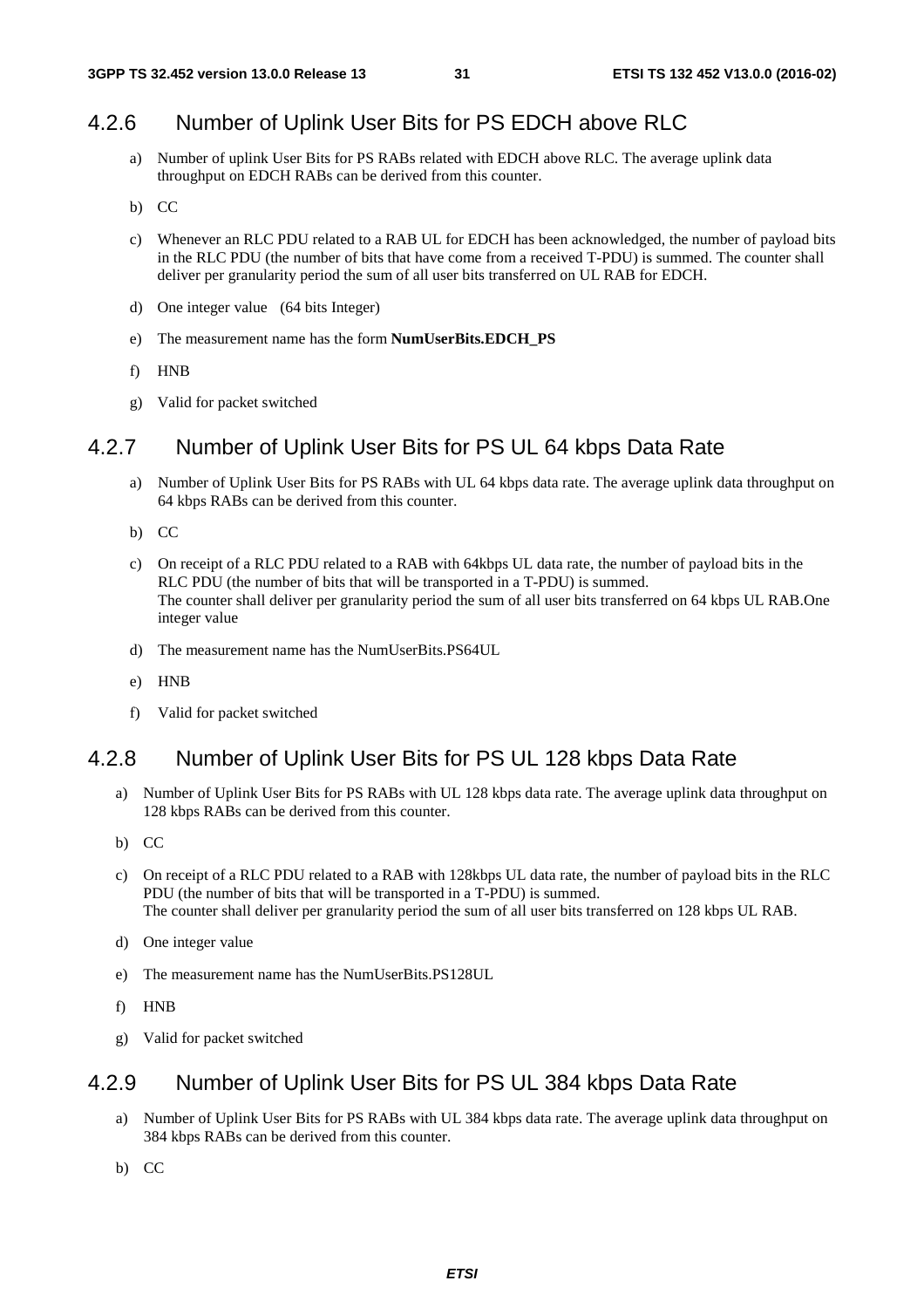# 4.2.6 Number of Uplink User Bits for PS EDCH above RLC

- a) Number of uplink User Bits for PS RABs related with EDCH above RLC. The average uplink data throughput on EDCH RABs can be derived from this counter.
- b) CC
- c) Whenever an RLC PDU related to a RAB UL for EDCH has been acknowledged, the number of payload bits in the RLC PDU (the number of bits that have come from a received T-PDU) is summed. The counter shall deliver per granularity period the sum of all user bits transferred on UL RAB for EDCH.
- d) One integer value (64 bits Integer)
- e) The measurement name has the form **NumUserBits.EDCH\_PS**
- f) HNB
- g) Valid for packet switched

# 4.2.7 Number of Uplink User Bits for PS UL 64 kbps Data Rate

- a) Number of Uplink User Bits for PS RABs with UL 64 kbps data rate. The average uplink data throughput on 64 kbps RABs can be derived from this counter.
- b) CC
- c) On receipt of a RLC PDU related to a RAB with 64kbps UL data rate, the number of payload bits in the RLC PDU (the number of bits that will be transported in a T-PDU) is summed. The counter shall deliver per granularity period the sum of all user bits transferred on 64 kbps UL RAB.One integer value
- d) The measurement name has the NumUserBits.PS64UL
- e) HNB
- f) Valid for packet switched

# 4.2.8 Number of Uplink User Bits for PS UL 128 kbps Data Rate

- a) Number of Uplink User Bits for PS RABs with UL 128 kbps data rate. The average uplink data throughput on 128 kbps RABs can be derived from this counter.
- b) CC
- c) On receipt of a RLC PDU related to a RAB with 128kbps UL data rate, the number of payload bits in the RLC PDU (the number of bits that will be transported in a T-PDU) is summed. The counter shall deliver per granularity period the sum of all user bits transferred on 128 kbps UL RAB.
- d) One integer value
- e) The measurement name has the NumUserBits.PS128UL
- f) HNB
- g) Valid for packet switched

# 4.2.9 Number of Uplink User Bits for PS UL 384 kbps Data Rate

- a) Number of Uplink User Bits for PS RABs with UL 384 kbps data rate. The average uplink data throughput on 384 kbps RABs can be derived from this counter.
- b) CC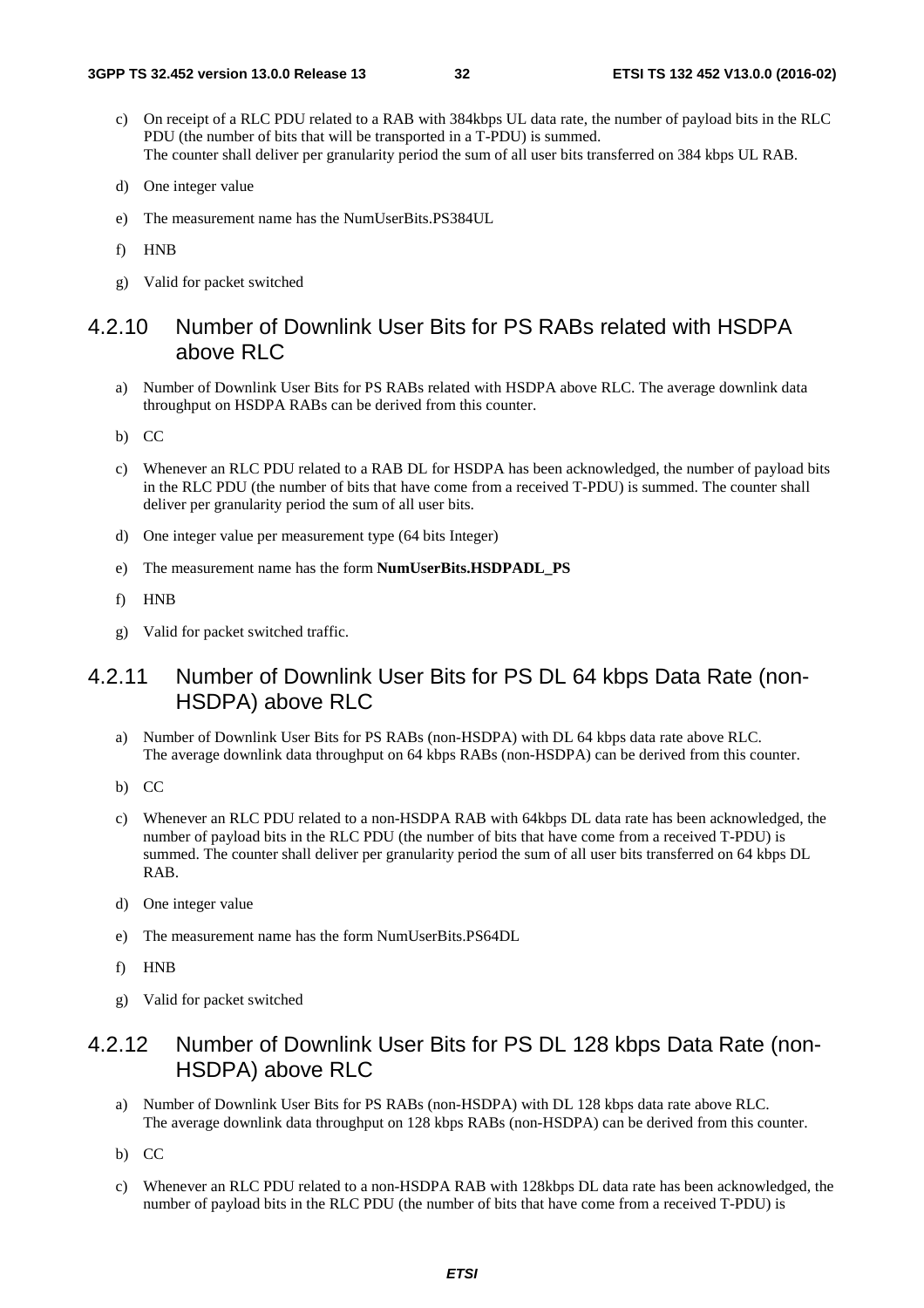- c) On receipt of a RLC PDU related to a RAB with 384kbps UL data rate, the number of payload bits in the RLC PDU (the number of bits that will be transported in a T-PDU) is summed. The counter shall deliver per granularity period the sum of all user bits transferred on 384 kbps UL RAB.
- d) One integer value
- e) The measurement name has the NumUserBits.PS384UL
- f) HNB
- g) Valid for packet switched

# 4.2.10 Number of Downlink User Bits for PS RABs related with HSDPA above RLC

- a) Number of Downlink User Bits for PS RABs related with HSDPA above RLC. The average downlink data throughput on HSDPA RABs can be derived from this counter.
- b) CC
- c) Whenever an RLC PDU related to a RAB DL for HSDPA has been acknowledged, the number of payload bits in the RLC PDU (the number of bits that have come from a received T-PDU) is summed. The counter shall deliver per granularity period the sum of all user bits.
- d) One integer value per measurement type (64 bits Integer)
- e) The measurement name has the form **NumUserBits.HSDPADL\_PS**
- f) HNB
- g) Valid for packet switched traffic.

# 4.2.11 Number of Downlink User Bits for PS DL 64 kbps Data Rate (non-HSDPA) above RLC

- a) Number of Downlink User Bits for PS RABs (non-HSDPA) with DL 64 kbps data rate above RLC. The average downlink data throughput on 64 kbps RABs (non-HSDPA) can be derived from this counter.
- b) CC
- c) Whenever an RLC PDU related to a non-HSDPA RAB with 64kbps DL data rate has been acknowledged, the number of payload bits in the RLC PDU (the number of bits that have come from a received T-PDU) is summed. The counter shall deliver per granularity period the sum of all user bits transferred on 64 kbps DL RAB.
- d) One integer value
- e) The measurement name has the form NumUserBits.PS64DL
- f) HNB
- g) Valid for packet switched

# 4.2.12 Number of Downlink User Bits for PS DL 128 kbps Data Rate (non-HSDPA) above RLC

- a) Number of Downlink User Bits for PS RABs (non-HSDPA) with DL 128 kbps data rate above RLC. The average downlink data throughput on 128 kbps RABs (non-HSDPA) can be derived from this counter.
- b) CC
- c) Whenever an RLC PDU related to a non-HSDPA RAB with 128kbps DL data rate has been acknowledged, the number of payload bits in the RLC PDU (the number of bits that have come from a received T-PDU) is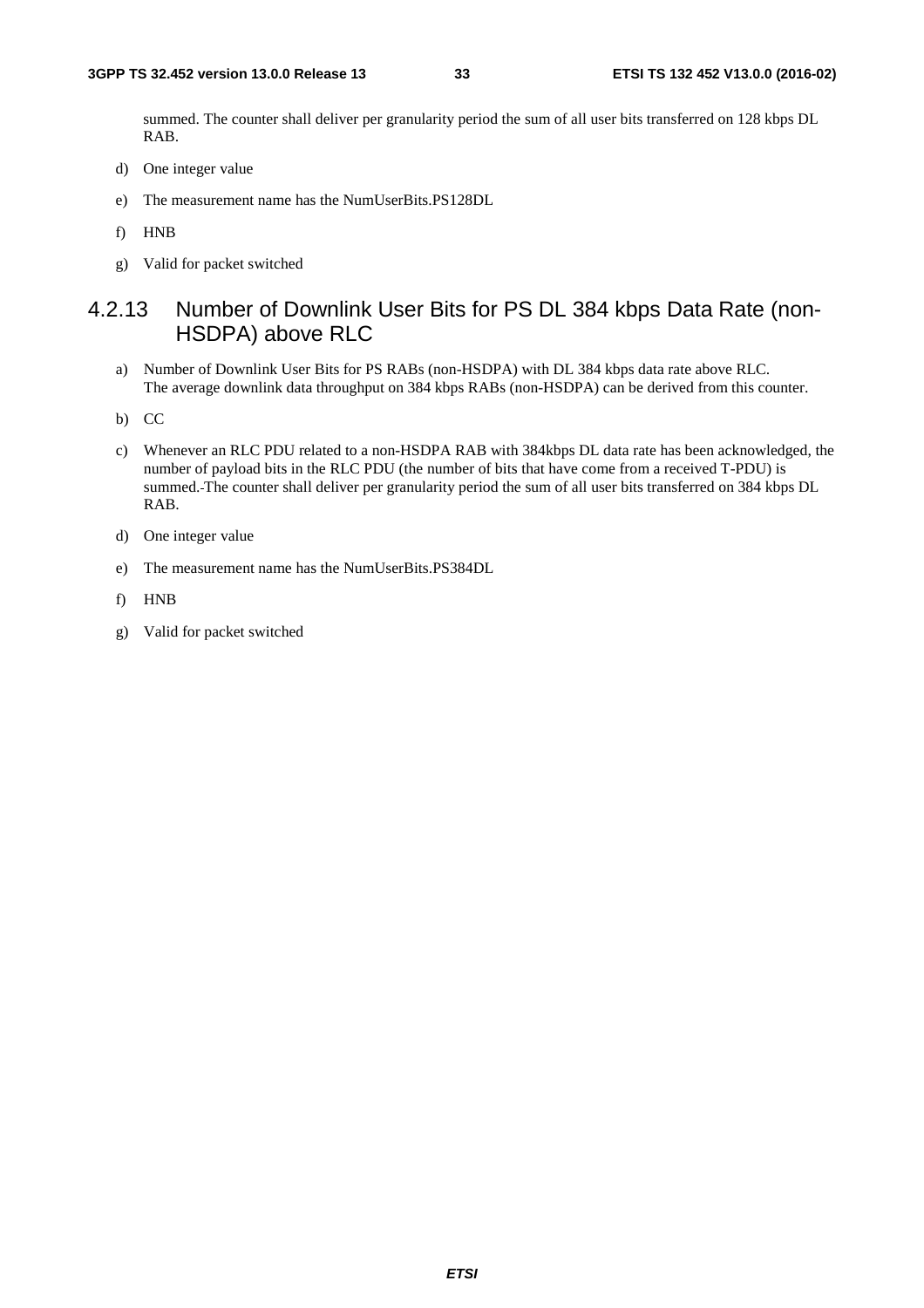summed. The counter shall deliver per granularity period the sum of all user bits transferred on 128 kbps DL RAB.

- d) One integer value
- e) The measurement name has the NumUserBits.PS128DL
- f) HNB
- g) Valid for packet switched

# 4.2.13 Number of Downlink User Bits for PS DL 384 kbps Data Rate (non-HSDPA) above RLC

- a) Number of Downlink User Bits for PS RABs (non-HSDPA) with DL 384 kbps data rate above RLC. The average downlink data throughput on 384 kbps RABs (non-HSDPA) can be derived from this counter.
- b) CC
- c) Whenever an RLC PDU related to a non-HSDPA RAB with 384kbps DL data rate has been acknowledged, the number of payload bits in the RLC PDU (the number of bits that have come from a received T-PDU) is summed. The counter shall deliver per granularity period the sum of all user bits transferred on 384 kbps DL RAB.
- d) One integer value
- e) The measurement name has the NumUserBits.PS384DL
- f) HNB
- g) Valid for packet switched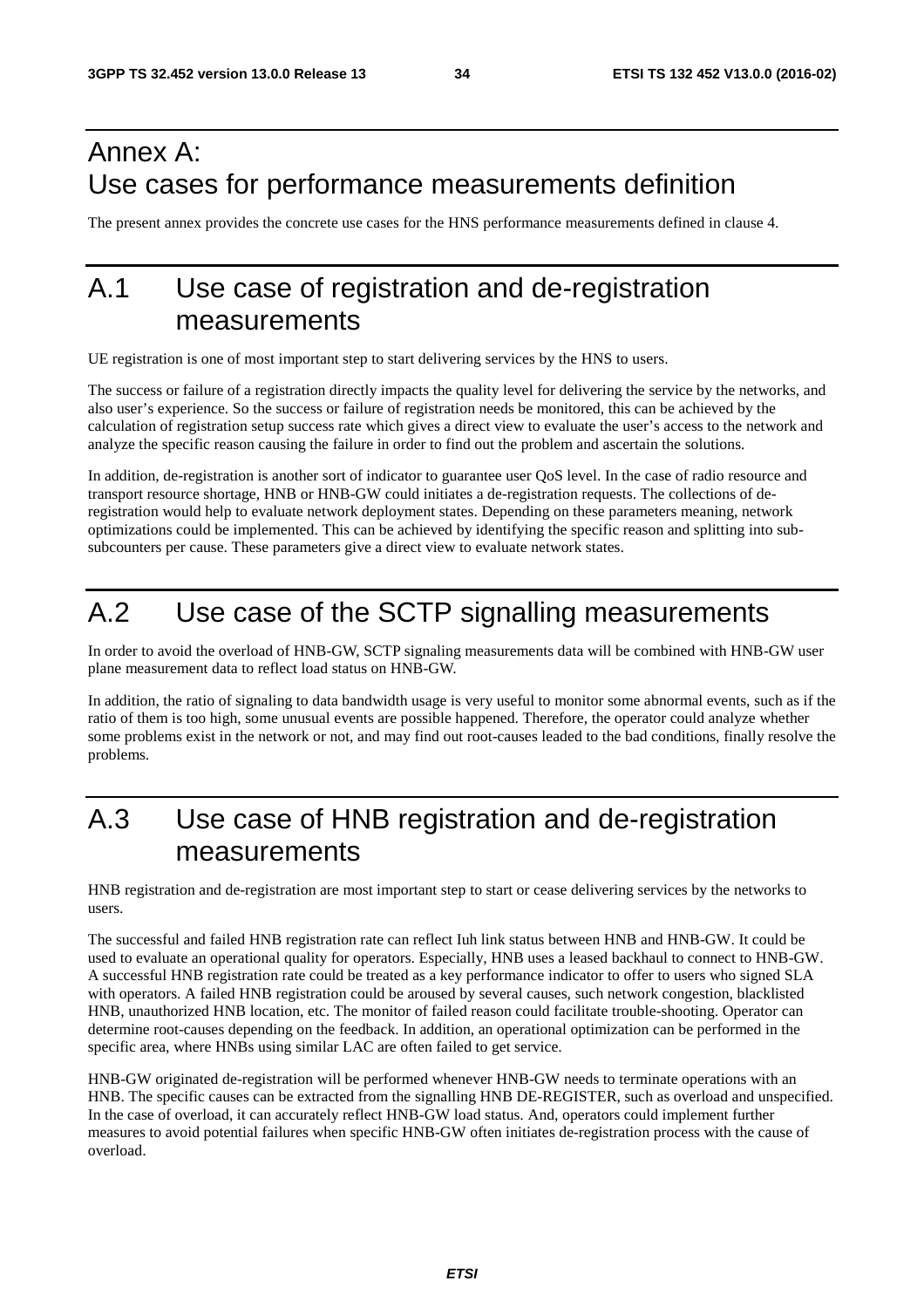# Annex A: Use cases for performance measurements definition

The present annex provides the concrete use cases for the HNS performance measurements defined in clause 4.

# A.1 Use case of registration and de-registration measurements

UE registration is one of most important step to start delivering services by the HNS to users.

The success or failure of a registration directly impacts the quality level for delivering the service by the networks, and also user's experience. So the success or failure of registration needs be monitored, this can be achieved by the calculation of registration setup success rate which gives a direct view to evaluate the user's access to the network and analyze the specific reason causing the failure in order to find out the problem and ascertain the solutions.

In addition, de-registration is another sort of indicator to guarantee user QoS level. In the case of radio resource and transport resource shortage, HNB or HNB-GW could initiates a de-registration requests. The collections of deregistration would help to evaluate network deployment states. Depending on these parameters meaning, network optimizations could be implemented. This can be achieved by identifying the specific reason and splitting into subsubcounters per cause. These parameters give a direct view to evaluate network states.

# A.2 Use case of the SCTP signalling measurements

In order to avoid the overload of HNB-GW, SCTP signaling measurements data will be combined with HNB-GW user plane measurement data to reflect load status on HNB-GW.

In addition, the ratio of signaling to data bandwidth usage is very useful to monitor some abnormal events, such as if the ratio of them is too high, some unusual events are possible happened. Therefore, the operator could analyze whether some problems exist in the network or not, and may find out root-causes leaded to the bad conditions, finally resolve the problems.

# A.3 Use case of HNB registration and de-registration measurements

HNB registration and de-registration are most important step to start or cease delivering services by the networks to users.

The successful and failed HNB registration rate can reflect Iuh link status between HNB and HNB-GW. It could be used to evaluate an operational quality for operators. Especially, HNB uses a leased backhaul to connect to HNB-GW. A successful HNB registration rate could be treated as a key performance indicator to offer to users who signed SLA with operators. A failed HNB registration could be aroused by several causes, such network congestion, blacklisted HNB, unauthorized HNB location, etc. The monitor of failed reason could facilitate trouble-shooting. Operator can determine root-causes depending on the feedback. In addition, an operational optimization can be performed in the specific area, where HNBs using similar LAC are often failed to get service.

HNB-GW originated de-registration will be performed whenever HNB-GW needs to terminate operations with an HNB. The specific causes can be extracted from the signalling HNB DE-REGISTER, such as overload and unspecified. In the case of overload, it can accurately reflect HNB-GW load status. And, operators could implement further measures to avoid potential failures when specific HNB-GW often initiates de-registration process with the cause of overload.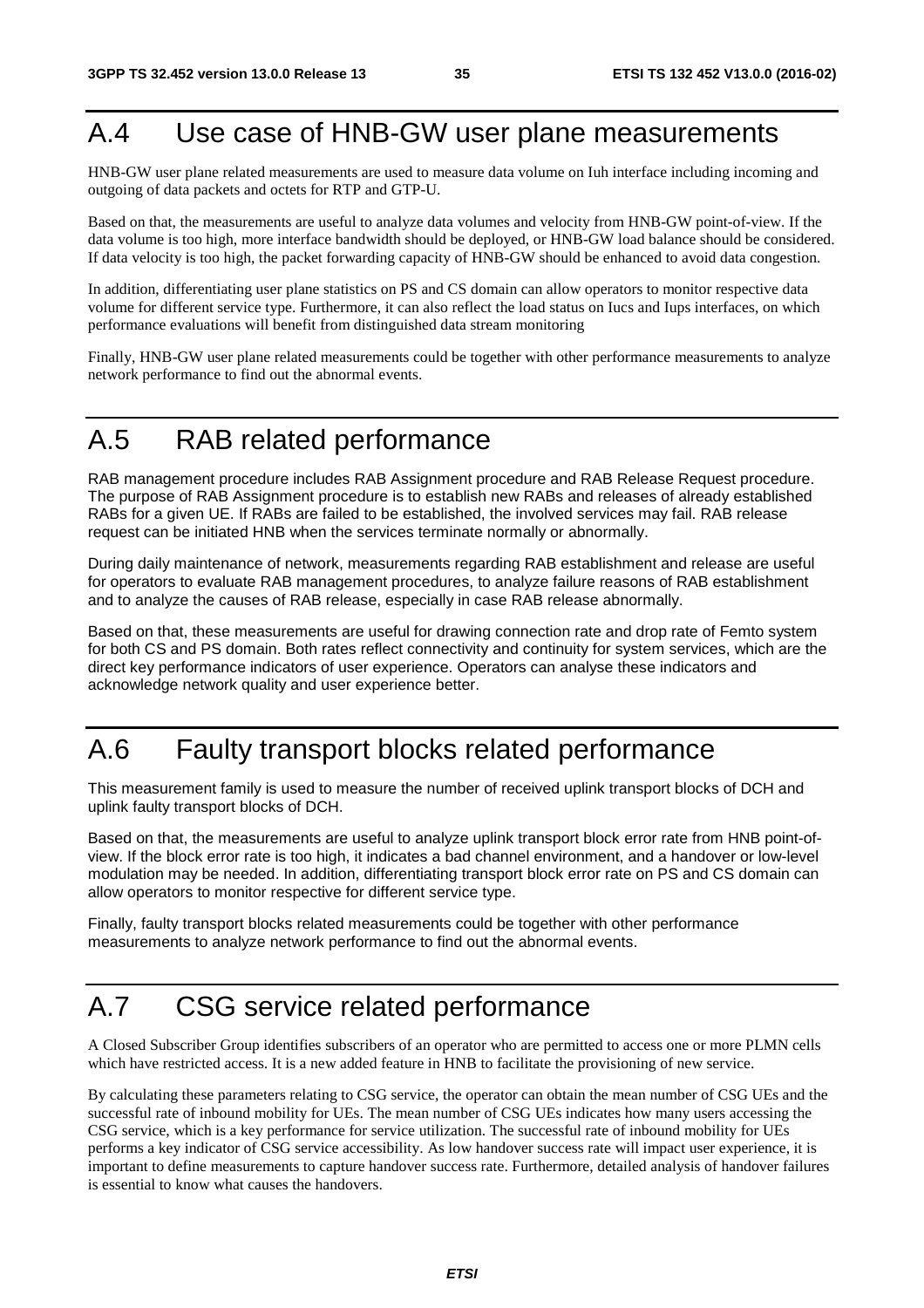# A.4 Use case of HNB-GW user plane measurements

HNB-GW user plane related measurements are used to measure data volume on Iuh interface including incoming and outgoing of data packets and octets for RTP and GTP-U.

Based on that, the measurements are useful to analyze data volumes and velocity from HNB-GW point-of-view. If the data volume is too high, more interface bandwidth should be deployed, or HNB-GW load balance should be considered. If data velocity is too high, the packet forwarding capacity of HNB-GW should be enhanced to avoid data congestion.

In addition, differentiating user plane statistics on PS and CS domain can allow operators to monitor respective data volume for different service type. Furthermore, it can also reflect the load status on Iucs and Iups interfaces, on which performance evaluations will benefit from distinguished data stream monitoring

Finally, HNB-GW user plane related measurements could be together with other performance measurements to analyze network performance to find out the abnormal events.

# A.5 RAB related performance

RAB management procedure includes RAB Assignment procedure and RAB Release Request procedure. The purpose of RAB Assignment procedure is to establish new RABs and releases of already established RABs for a given UE. If RABs are failed to be established, the involved services may fail. RAB release request can be initiated HNB when the services terminate normally or abnormally.

During daily maintenance of network, measurements regarding RAB establishment and release are useful for operators to evaluate RAB management procedures, to analyze failure reasons of RAB establishment and to analyze the causes of RAB release, especially in case RAB release abnormally.

Based on that, these measurements are useful for drawing connection rate and drop rate of Femto system for both CS and PS domain. Both rates reflect connectivity and continuity for system services, which are the direct key performance indicators of user experience. Operators can analyse these indicators and acknowledge network quality and user experience better.

# A.6 Faulty transport blocks related performance

This measurement family is used to measure the number of received uplink transport blocks of DCH and uplink faulty transport blocks of DCH.

Based on that, the measurements are useful to analyze uplink transport block error rate from HNB point-ofview. If the block error rate is too high, it indicates a bad channel environment, and a handover or low-level modulation may be needed. In addition, differentiating transport block error rate on PS and CS domain can allow operators to monitor respective for different service type.

Finally, faulty transport blocks related measurements could be together with other performance measurements to analyze network performance to find out the abnormal events.

# A.7 CSG service related performance

A Closed Subscriber Group identifies subscribers of an operator who are permitted to access one or more PLMN cells which have restricted access. It is a new added feature in HNB to facilitate the provisioning of new service.

By calculating these parameters relating to CSG service, the operator can obtain the mean number of CSG UEs and the successful rate of inbound mobility for UEs. The mean number of CSG UEs indicates how many users accessing the CSG service, which is a key performance for service utilization. The successful rate of inbound mobility for UEs performs a key indicator of CSG service accessibility. As low handover success rate will impact user experience, it is important to define measurements to capture handover success rate. Furthermore, detailed analysis of handover failures is essential to know what causes the handovers.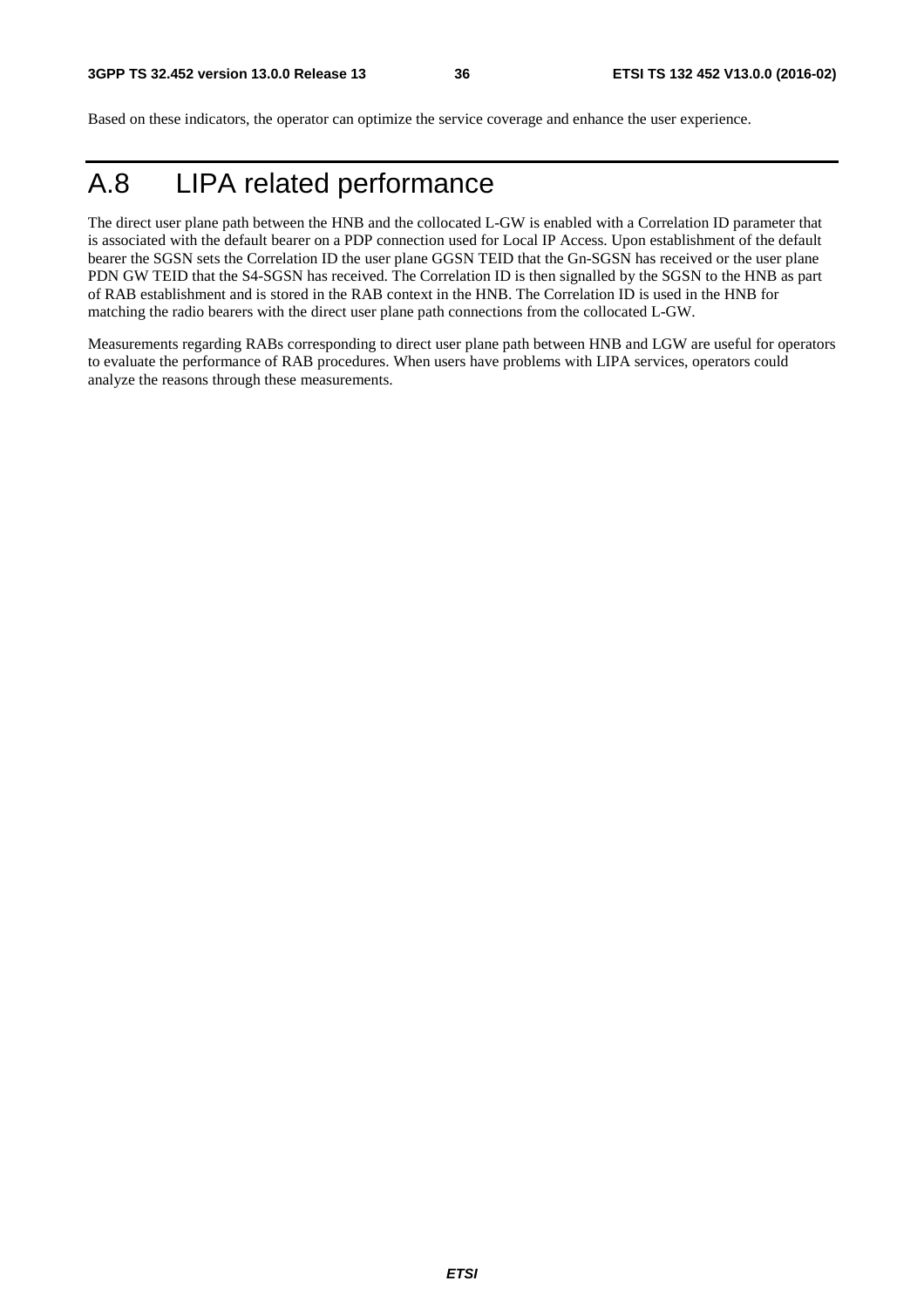Based on these indicators, the operator can optimize the service coverage and enhance the user experience.

# A.8 LIPA related performance

The direct user plane path between the HNB and the collocated L-GW is enabled with a Correlation ID parameter that is associated with the default bearer on a PDP connection used for Local IP Access. Upon establishment of the default bearer the SGSN sets the Correlation ID the user plane GGSN TEID that the Gn-SGSN has received or the user plane PDN GW TEID that the S4-SGSN has received. The Correlation ID is then signalled by the SGSN to the HNB as part of RAB establishment and is stored in the RAB context in the HNB. The Correlation ID is used in the HNB for matching the radio bearers with the direct user plane path connections from the collocated L-GW.

Measurements regarding RABs corresponding to direct user plane path between HNB and LGW are useful for operators to evaluate the performance of RAB procedures. When users have problems with LIPA services, operators could analyze the reasons through these measurements.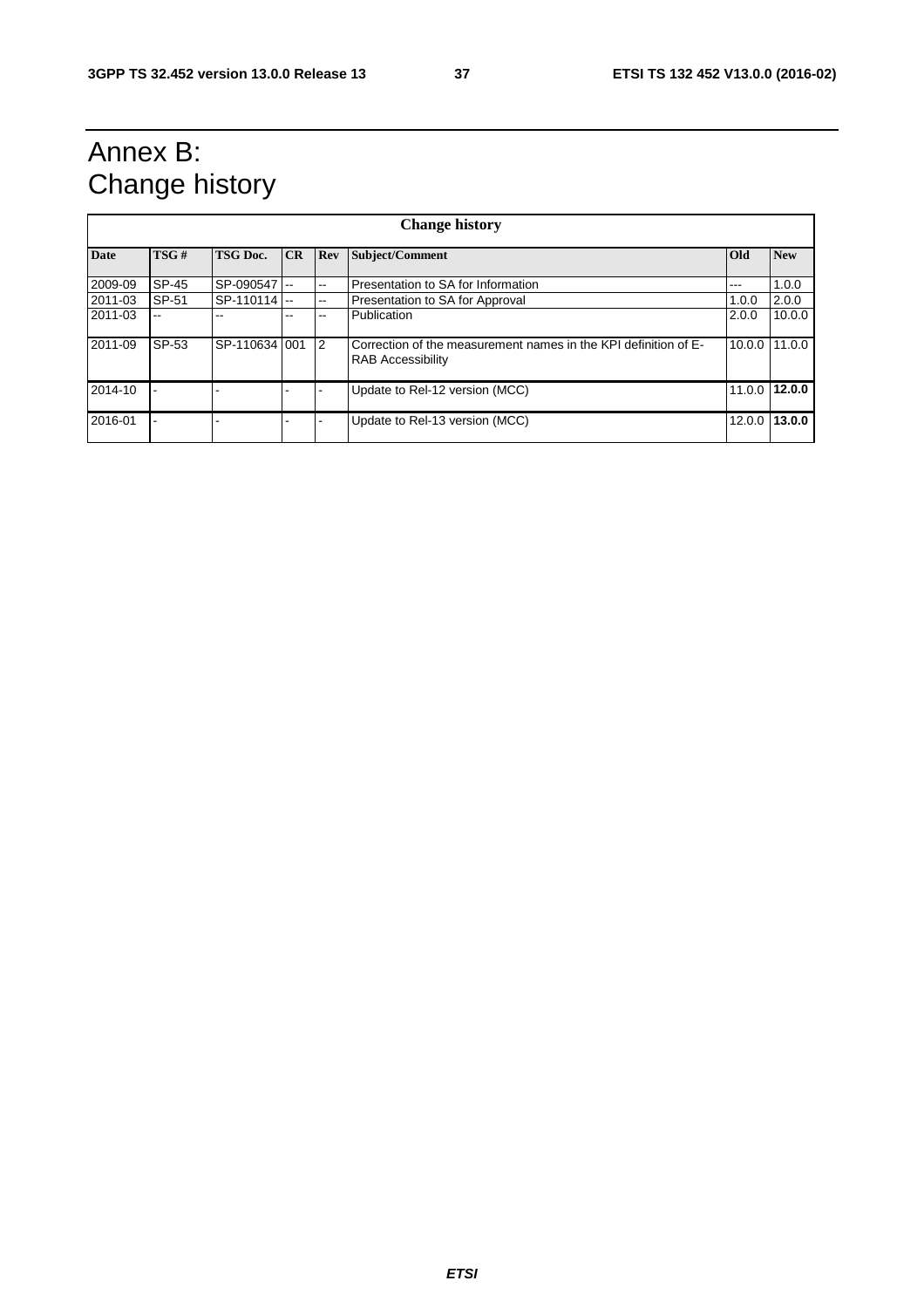# Annex B: Change history

|             | <b>Change history</b> |                 |            |             |                                                                                             |        |            |
|-------------|-----------------------|-----------------|------------|-------------|---------------------------------------------------------------------------------------------|--------|------------|
| <b>Date</b> | TSG#                  | <b>TSG Doc.</b> | CR         | Re <b>v</b> | Subject/Comment                                                                             | Old    | <b>New</b> |
| 2009-09     | SP-45                 | SP-090547       | <b>1-4</b> | --          | Presentation to SA for Information                                                          | ---    | 1.0.0      |
| 2011-03     | SP-51                 | SP-110114       |            | --          | Presentation to SA for Approval                                                             | 1.0.0  | 2.0.0      |
| 2011-03     | $- -$                 | --              | --         | --          | Publication                                                                                 | 2.0.0  | 10.0.0     |
| 2011-09     | SP-53                 | SP-110634 001   |            | <u>2</u>    | Correction of the measurement names in the KPI definition of E-<br><b>RAB Accessibility</b> | 10.0.0 | 11.0.0     |
| 2014-10     |                       |                 |            |             | Update to Rel-12 version (MCC)                                                              | 11.0.0 | 12.0.0     |
| 2016-01     |                       |                 |            |             | Update to Rel-13 version (MCC)                                                              | 12.0.0 | 13.0.0     |